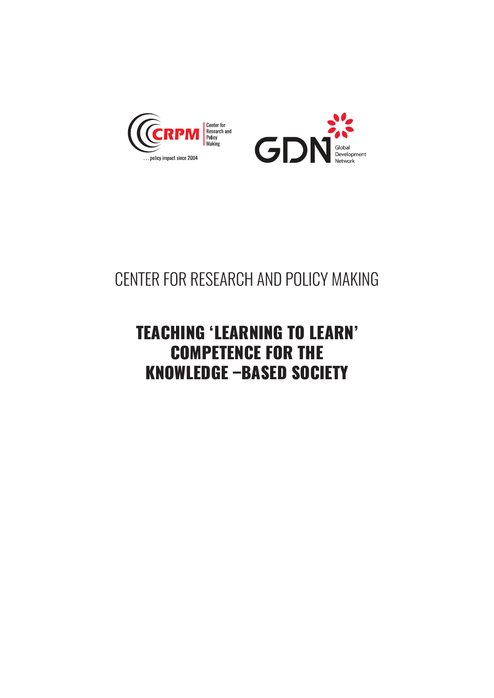



# CENTER FOR RESEARCH AND POLICY MAKING

## TEACHING 'LEARNING TO LEARN' COMPETENCE FOR THE KNOWLEDGE –BASED SOCIETY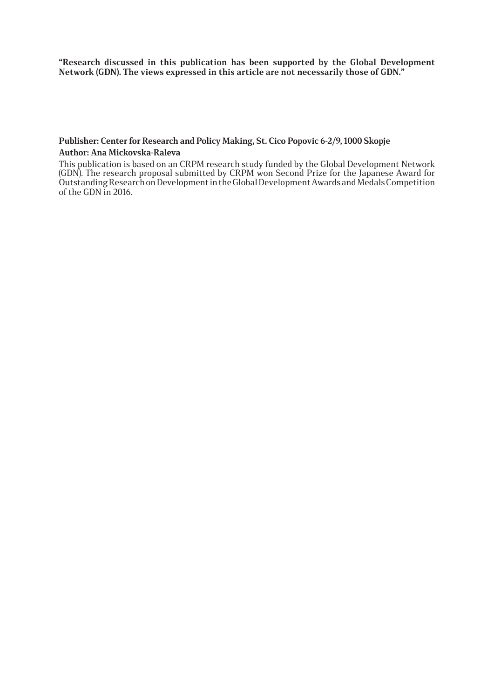**"Research discussed in this publication has been supported by the Global Development Network (GDN). The views expressed in this article are not necessarily those of GDN."** 

#### **Publisher: Center for Research and Policy Making, St. Cico Popovic 6-2/9, 1000 Skopje Author: Ana Mickovska-Raleva**

This publication is based on an CRPM research study funded by the Global Development Network (GDN). The research proposal submitted by CRPM won Second Prize for the Japanese Award for Outstanding Research on Development in the Global Development Awards and Medals Competition of the GDN in 2016.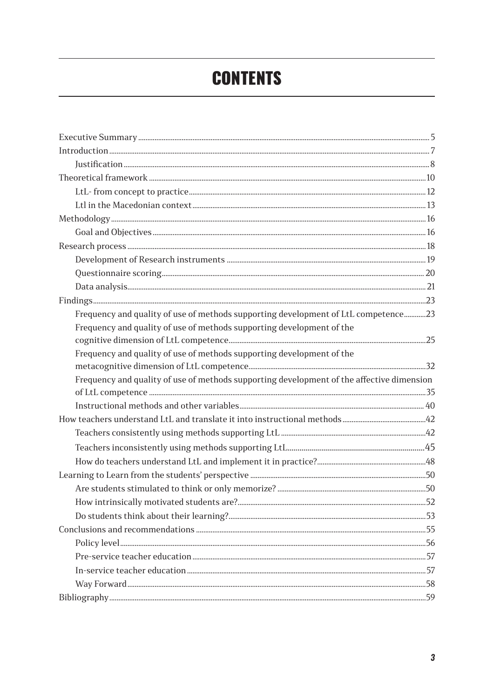# **CONTENTS**

| Frequency and quality of use of methods supporting development of LtL competence23        |    |
|-------------------------------------------------------------------------------------------|----|
| Frequency and quality of use of methods supporting development of the                     |    |
|                                                                                           |    |
| Frequency and quality of use of methods supporting development of the                     |    |
|                                                                                           |    |
| Frequency and quality of use of methods supporting development of the affective dimension |    |
|                                                                                           |    |
|                                                                                           |    |
|                                                                                           |    |
|                                                                                           |    |
|                                                                                           |    |
|                                                                                           |    |
|                                                                                           |    |
|                                                                                           |    |
|                                                                                           | 52 |
|                                                                                           |    |
|                                                                                           |    |
|                                                                                           |    |
|                                                                                           |    |
|                                                                                           |    |
|                                                                                           |    |
|                                                                                           |    |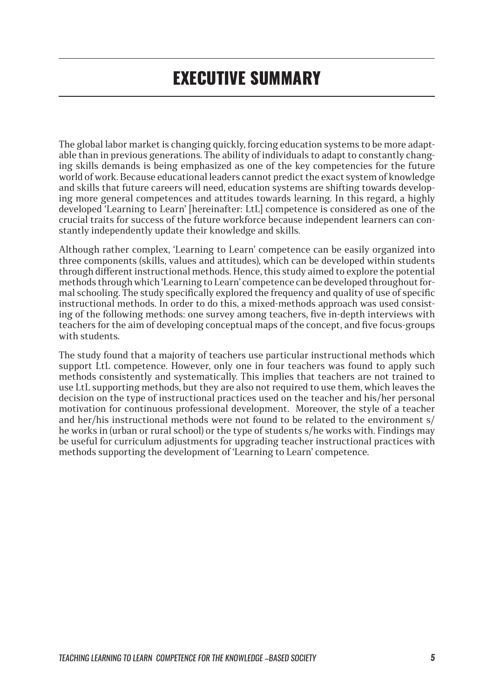# EXECUTIVE SUMMARY

The global labor market is changing quickly, forcing education systems to be more adaptable than in previous generations. The ability of individuals to adapt to constantly changing skills demands is being emphasized as one of the key competencies for the future world of work. Because educational leaders cannot predict the exact system of knowledge and skills that future careers will need, education systems are shifting towards developing more general competences and attitudes towards learning. In this regard, a highly developed 'Learning to Learn' [hereinafter: LtL] competence is considered as one of the crucial traits for success of the future workforce because independent learners can constantly independently update their knowledge and skills.

Although rather complex, 'Learning to Learn' competence can be easily organized into three components (skills, values and attitudes), which can be developed within students through different instructional methods. Hence, this study aimed to explore the potential methods through which 'Learning to Learn' competence can be developed throughout formal schooling. The study specifically explored the frequency and quality of use of specific instructional methods. In order to do this, a mixed-methods approach was used consisting of the following methods: one survey among teachers, five in-depth interviews with teachers for the aim of developing conceptual maps of the concept, and five focus-groups with students.

The study found that a majority of teachers use particular instructional methods which support LtL competence. However, only one in four teachers was found to apply such methods consistently and systematically. This implies that teachers are not trained to use LtL supporting methods, but they are also not required to use them, which leaves the decision on the type of instructional practices used on the teacher and his/her personal motivation for continuous professional development. Moreover, the style of a teacher and her/his instructional methods were not found to be related to the environment s/ he works in (urban or rural school) or the type of students s/he works with. Findings may be useful for curriculum adjustments for upgrading teacher instructional practices with methods supporting the development of 'Learning to Learn' competence.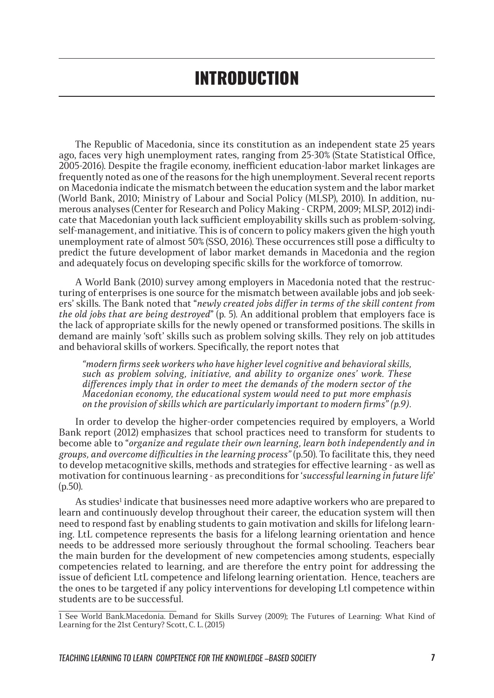The Republic of Macedonia, since its constitution as an independent state 25 years ago, faces very high unemployment rates, ranging from 25-30% (State Statistical Office, 2005-2016). Despite the fragile economy, inefficient education-labor market linkages are frequently noted as one of the reasons for the high unemployment. Several recent reports on Macedonia indicate the mismatch between the education system and the labor market (World Bank, 2010; Ministry of Labour and Social Policy (MLSP), 2010). In addition, numerous analyses (Center for Research and Policy Making - CRPM, 2009; MLSP, 2012) indicate that Macedonian youth lack sufficient employability skills such as problem-solving, self-management, and initiative. This is of concern to policy makers given the high youth unemployment rate of almost 50% (SSO, 2016). These occurrences still pose a difficulty to predict the future development of labor market demands in Macedonia and the region and adequately focus on developing specific skills for the workforce of tomorrow.

A World Bank (2010) survey among employers in Macedonia noted that the restructuring of enterprises is one source for the mismatch between available jobs and job seekers' skills. The Bank noted that "*newly created jobs differ in terms of the skill content from the old jobs that are being destroyed*" (p. 5). An additional problem that employers face is the lack of appropriate skills for the newly opened or transformed positions. The skills in demand are mainly 'soft' skills such as problem solving skills. They rely on job attitudes and behavioral skills of workers. Specifically, the report notes that

*"modern firms seek workers who have higher level cognitive and behavioral skills, such as problem solving, initiative, and ability to organize ones' work. These differences imply that in order to meet the demands of the modern sector of the Macedonian economy, the educational system would need to put more emphasis on the provision of skills which are particularly important to modern firms" (p.9).*

In order to develop the higher-order competencies required by employers, a World Bank report (2012) emphasizes that school practices need to transform for students to become able to "*organize and regulate their own learning, learn both independently and in groups, and overcome difficulties in the learning process"* (p.50). To facilitate this, they need to develop metacognitive skills, methods and strategies for effective learning - as well as motivation for continuous learning - as preconditions for '*successful learning in future life*' (p.50).

As studies<sup>1</sup> indicate that businesses need more adaptive workers who are prepared to learn and continuously develop throughout their career, the education system will then need to respond fast by enabling students to gain motivation and skills for lifelong learning. LtL competence represents the basis for a lifelong learning orientation and hence needs to be addressed more seriously throughout the formal schooling. Teachers bear the main burden for the development of new competencies among students, especially competencies related to learning, and are therefore the entry point for addressing the issue of deficient LtL competence and lifelong learning orientation. Hence, teachers are the ones to be targeted if any policy interventions for developing Ltl competence within students are to be successful.

<sup>1</sup> See World Bank.Macedonia. Demand for Skills Survey (2009); The Futures of Learning: What Kind of Learning for the 21st Century? Scott, C. L. (2015)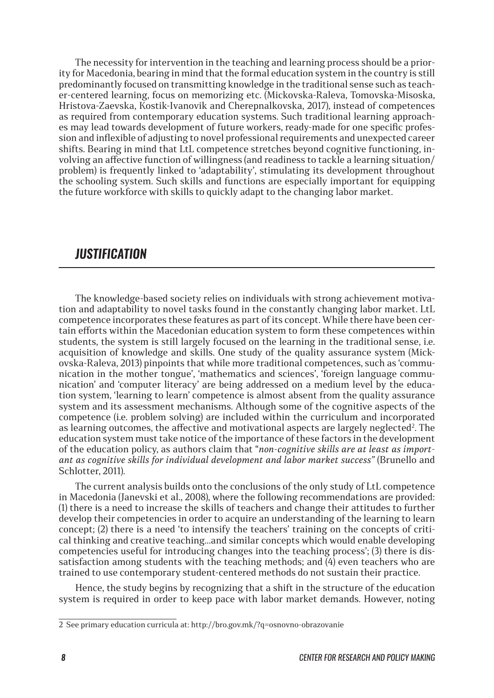The necessity for intervention in the teaching and learning process should be a priority for Macedonia, bearing in mind that the formal education system in the country is still predominantly focused on transmitting knowledge in the traditional sense such as teacher-centered learning, focus on memorizing etc. (Mickovska-Raleva, Tomovska-Misoska, Hristova-Zaevska, Kostik-Ivanovik and Cherepnalkovska, 2017), instead of competences as required from contemporary education systems. Such traditional learning approaches may lead towards development of future workers, ready-made for one specific profession and inflexible of adjusting to novel professional requirements and unexpected career shifts. Bearing in mind that LtL competence stretches beyond cognitive functioning, involving an affective function of willingness (and readiness to tackle a learning situation/ problem) is frequently linked to 'adaptability', stimulating its development throughout the schooling system. Such skills and functions are especially important for equipping the future workforce with skills to quickly adapt to the changing labor market.

### *JUSTIFICATION*

The knowledge-based society relies on individuals with strong achievement motivation and adaptability to novel tasks found in the constantly changing labor market. LtL competence incorporates these features as part of its concept. While there have been certain efforts within the Macedonian education system to form these competences within students, the system is still largely focused on the learning in the traditional sense, i.e. acquisition of knowledge and skills. One study of the quality assurance system (Mickovska-Raleva, 2013) pinpoints that while more traditional competences, such as 'communication in the mother tongue', 'mathematics and sciences', 'foreign language communication' and 'computer literacy' are being addressed on a medium level by the education system, 'learning to learn' competence is almost absent from the quality assurance system and its assessment mechanisms. Although some of the cognitive aspects of the competence (i.e. problem solving) are included within the curriculum and incorporated as learning outcomes, the affective and motivational aspects are largely neglected? The education system must take notice of the importance of these factors in the development of the education policy, as authors claim that "*non-cognitive skills are at least as important as cognitive skills for individual development and labor market success"* (Brunello and Schlotter, 2011).

The current analysis builds onto the conclusions of the only study of LtL competence in Macedonia (Janevski et al., 2008), where the following recommendations are provided: (1) there is a need to increase the skills of teachers and change their attitudes to further develop their competencies in order to acquire an understanding of the learning to learn concept; (2) there is a need 'to intensify the teachers' training on the concepts of critical thinking and creative teaching…and similar concepts which would enable developing competencies useful for introducing changes into the teaching process'; (3) there is dissatisfaction among students with the teaching methods; and  $(4)$  even teachers who are trained to use contemporary student-centered methods do not sustain their practice.

Hence, the study begins by recognizing that a shift in the structure of the education system is required in order to keep pace with labor market demands. However, noting

<sup>2</sup> See primary education curricula at: http://bro.gov.mk/?q=osnovno-obrazovanie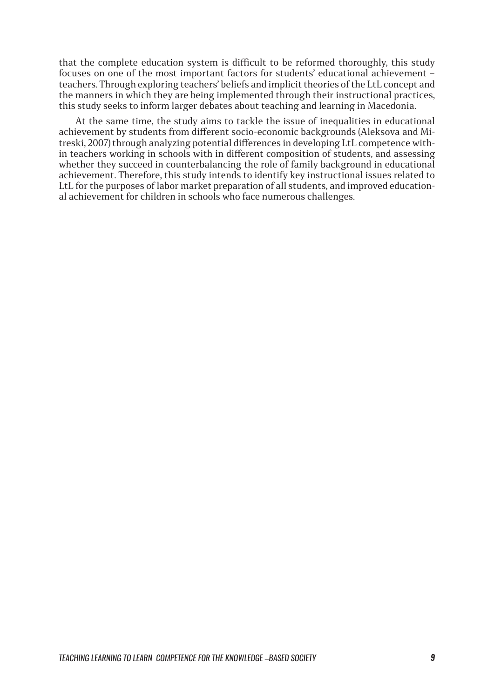that the complete education system is difficult to be reformed thoroughly, this study focuses on one of the most important factors for students' educational achievement – teachers. Through exploring teachers' beliefs and implicit theories of the LtL concept and the manners in which they are being implemented through their instructional practices, this study seeks to inform larger debates about teaching and learning in Macedonia.

At the same time, the study aims to tackle the issue of inequalities in educational achievement by students from different socio-economic backgrounds (Aleksova and Mitreski, 2007) through analyzing potential differences in developing LtL competence within teachers working in schools with in different composition of students, and assessing whether they succeed in counterbalancing the role of family background in educational achievement. Therefore, this study intends to identify key instructional issues related to LtL for the purposes of labor market preparation of all students, and improved educational achievement for children in schools who face numerous challenges.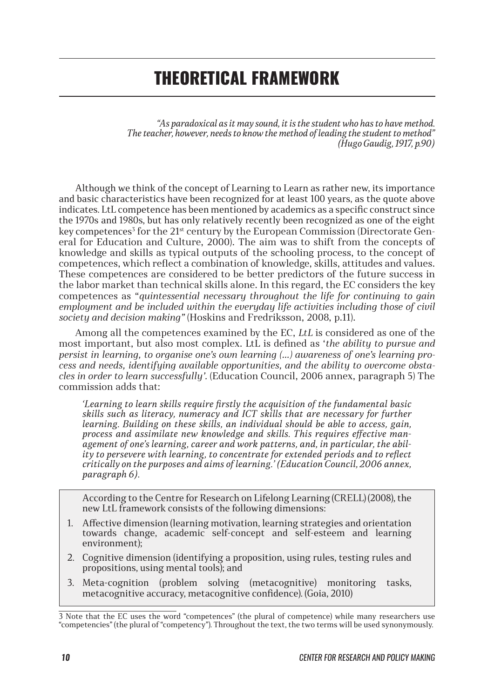# THEORETICAL FRAMEWORK

*"As paradoxical as it may sound, it is the student who has to have method. The teacher, however, needs to know the method of leading the student to method" (Hugo Gaudig, 1917, p.90)*

Although we think of the concept of Learning to Learn as rather new, its importance and basic characteristics have been recognized for at least 100 years, as the quote above indicates. LtL competence has been mentioned by academics as a specific construct since the 1970s and 1980s, but has only relatively recently been recognized as one of the eight key competences<sup>3</sup> for the 21<sup>st</sup> century by the European Commission (Directorate General for Education and Culture, 2000). The aim was to shift from the concepts of knowledge and skills as typical outputs of the schooling process, to the concept of competences, which reflect a combination of knowledge, skills, attitudes and values. These competences are considered to be better predictors of the future success in the labor market than technical skills alone. In this regard, the EC considers the key competences as "*quintessential necessary throughout the life for continuing to gain employment and be included within the everyday life activities including those of civil society and decision making"* (Hoskins and Fredriksson, 2008, p.11).

Among all the competences examined by the EC, *LtL* is considered as one of the most important, but also most complex. LtL is defined as '*the ability to pursue and persist in learning, to organise one's own learning (…) awareness of one's learning process and needs, identifying available opportunities, and the ability to overcome obstacles in order to learn successfully'.* (Education Council, 2006 annex, paragraph 5) The commission adds that:

*'Learning to learn skills require firstly the acquisition of the fundamental basic skills such as literacy, numeracy and ICT skills that are necessary for further learning. Building on these skills, an individual should be able to access, gain, process and assimilate new knowledge and skills. This requires effective management of one's learning, career and work patterns, and, in particular, the ability to persevere with learning, to concentrate for extended periods and to reflect critically on the purposes and aims of learning.' (Education Council, 2006 annex, paragraph 6).*

According to the Centre for Research on Lifelong Learning (CRELL) (2008), the new LtL framework consists of the following dimensions:

- 1. Affective dimension (learning motivation, learning strategies and orientation towards change, academic self-concept and self-esteem and learning environment);
- 2. Cognitive dimension (identifying a proposition, using rules, testing rules and propositions, using mental tools); and
- 3. Meta-cognition (problem solving (metacognitive) monitoring tasks, metacognitive accuracy, metacognitive confidence). (Goia, 2010)

<sup>3</sup> Note that the EC uses the word "competences" (the plural of competence) while many researchers use "competencies" (the plural of "competency"). Throughout the text, the two terms will be used synonymously.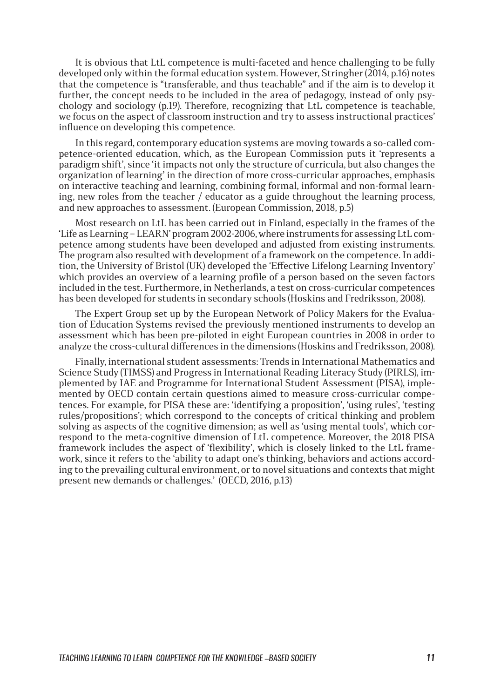It is obvious that LtL competence is multi-faceted and hence challenging to be fully developed only within the formal education system. However, Stringher (2014, p.16) notes that the competence is "transferable, and thus teachable" and if the aim is to develop it further, the concept needs to be included in the area of pedagogy, instead of only psychology and sociology (p.19). Therefore, recognizing that LtL competence is teachable, we focus on the aspect of classroom instruction and try to assess instructional practices' influence on developing this competence.

In this regard, contemporary education systems are moving towards a so-called competence-oriented education, which, as the European Commission puts it 'represents a paradigm shift', since 'it impacts not only the structure of curricula, but also changes the organization of learning' in the direction of more cross-curricular approaches, emphasis on interactive teaching and learning, combining formal, informal and non-formal learning, new roles from the teacher / educator as a guide throughout the learning process, and new approaches to assessment. (European Commission, 2018, p.5)

Most research on LtL has been carried out in Finland, especially in the frames of the 'Life as Learning – LEARN' program 2002-2006, where instruments for assessing LtL competence among students have been developed and adjusted from existing instruments. The program also resulted with development of a framework on the competence. In addition, the University of Bristol (UK) developed the 'Effective Lifelong Learning Inventory' which provides an overview of a learning profile of a person based on the seven factors included in the test. Furthermore, in Netherlands, a test on cross-curricular competences has been developed for students in secondary schools (Hoskins and Fredriksson, 2008).

The Expert Group set up by the European Network of Policy Makers for the Evaluation of Education Systems revised the previously mentioned instruments to develop an assessment which has been pre-piloted in eight European countries in 2008 in order to analyze the cross-cultural differences in the dimensions (Hoskins and Fredriksson, 2008).

Finally, international student assessments: Trends in International Mathematics and Science Study (TIMSS) and Progress in International Reading Literacy Study (PIRLS), implemented by IAE and Programme for International Student Assessment (PISA), implemented by OECD contain certain questions aimed to measure cross-curricular competences. For example, for PISA these are: 'identifying a proposition', 'using rules', 'testing rules/propositions'; which correspond to the concepts of critical thinking and problem solving as aspects of the cognitive dimension; as well as 'using mental tools', which correspond to the meta-cognitive dimension of LtL competence. Moreover, the 2018 PISA framework includes the aspect of 'flexibility', which is closely linked to the LtL framework, since it refers to the 'ability to adapt one's thinking, behaviors and actions according to the prevailing cultural environment, or to novel situations and contexts that might present new demands or challenges.' (OECD, 2016, p.13)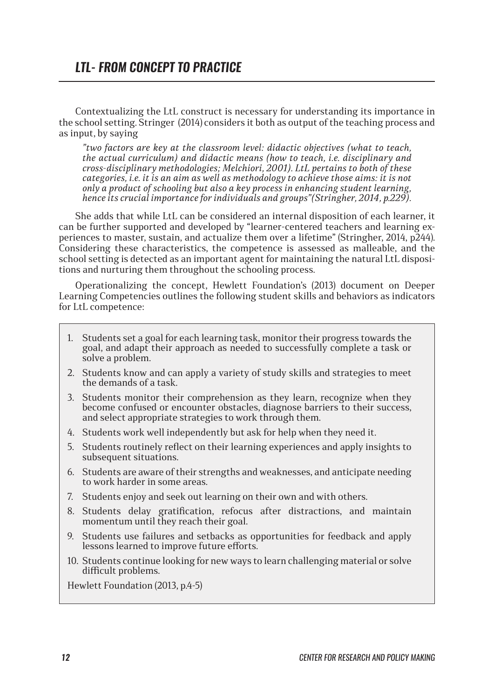## *LTL- FROM CONCEPT TO PRACTICE*

Contextualizing the LtL construct is necessary for understanding its importance in the school setting. Stringer (2014) considers it both as output of the teaching process and as input, by saying

*"two factors are key at the classroom level: didactic objectives (what to teach, the actual curriculum) and didactic means (how to teach, i.e. disciplinary and cross-disciplinary methodologies; Melchiori, 2001). LtL pertains to both of these categories, i.e. it is an aim as well as methodology to achieve those aims: it is not only a product of schooling but also a key process in enhancing student learning, hence its crucial importance for individuals and groups"(Stringher, 2014, p.229).*

She adds that while LtL can be considered an internal disposition of each learner, it can be further supported and developed by "learner-centered teachers and learning experiences to master, sustain, and actualize them over a lifetime" (Stringher, 2014, p244). Considering these characteristics, the competence is assessed as malleable, and the school setting is detected as an important agent for maintaining the natural LtL dispositions and nurturing them throughout the schooling process.

Operationalizing the concept, Hewlett Foundation's (2013) document on Deeper Learning Competencies outlines the following student skills and behaviors as indicators for LtL competence:

- 1. Students set a goal for each learning task, monitor their progress towards the goal, and adapt their approach as needed to successfully complete a task or solve a problem.
- 2. Students know and can apply a variety of study skills and strategies to meet the demands of a task.
- 3. Students monitor their comprehension as they learn, recognize when they become confused or encounter obstacles, diagnose barriers to their success, and select appropriate strategies to work through them.
- 4. Students work well independently but ask for help when they need it.
- 5. Students routinely reflect on their learning experiences and apply insights to subsequent situations.
- 6. Students are aware of their strengths and weaknesses, and anticipate needing to work harder in some areas.
- 7. Students enjoy and seek out learning on their own and with others.
- 8. Students delay gratification, refocus after distractions, and maintain momentum until they reach their goal.
- 9. Students use failures and setbacks as opportunities for feedback and apply lessons learned to improve future efforts.
- 10. Students continue looking for new ways to learn challenging material or solve difficult problems.

Hewlett Foundation (2013, p.4-5)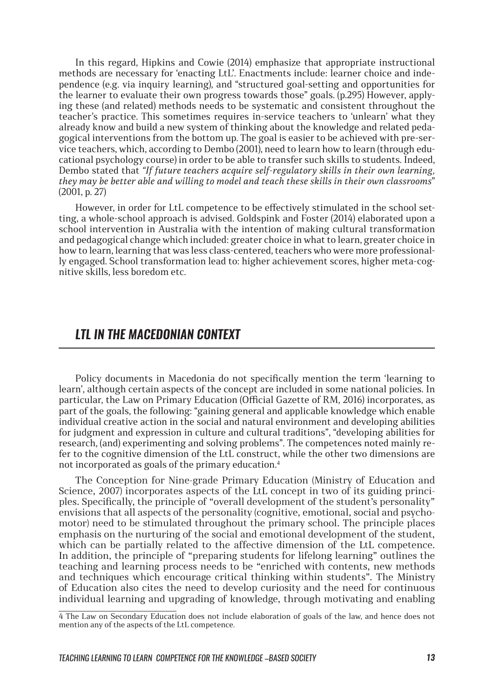In this regard, Hipkins and Cowie (2014) emphasize that appropriate instructional methods are necessary for 'enacting LtL'. Enactments include: learner choice and independence (e.g. via inquiry learning), and "structured goal-setting and opportunities for the learner to evaluate their own progress towards those" goals. (p.295) However, applying these (and related) methods needs to be systematic and consistent throughout the teacher's practice. This sometimes requires in-service teachers to 'unlearn' what they already know and build a new system of thinking about the knowledge and related pedagogical interventions from the bottom up. The goal is easier to be achieved with pre-service teachers, which, according to Dembo (2001), need to learn how to learn (through educational psychology course) in order to be able to transfer such skills to students. Indeed, Dembo stated that *"If future teachers acquire self-regulatory skills in their own learning, they may be better able and willing to model and teach these skills in their own classrooms*" (2001, p. 27)

However, in order for LtL competence to be effectively stimulated in the school setting, a whole-school approach is advised. Goldspink and Foster (2014) elaborated upon a school intervention in Australia with the intention of making cultural transformation and pedagogical change which included: greater choice in what to learn, greater choice in how to learn, learning that was less class-centered, teachers who were more professionally engaged. School transformation lead to: higher achievement scores, higher meta-cognitive skills, less boredom etc.

### *LTL IN THE MACEDONIAN CONTEXT*

Policy documents in Macedonia do not specifically mention the term 'learning to learn', although certain aspects of the concept are included in some national policies. In particular, the Law on Primary Education (Official Gazette of RM, 2016) incorporates, as part of the goals, the following: "gaining general and applicable knowledge which enable individual creative action in the social and natural environment and developing abilities for judgment and expression in culture and cultural traditions", "developing abilities for research, (and) experimenting and solving problems". The competences noted mainly refer to the cognitive dimension of the LtL construct, while the other two dimensions are not incorporated as goals of the primary education.<sup>4</sup>

The Conception for Nine-grade Primary Education (Ministry of Education and Science, 2007) incorporates aspects of the LtL concept in two of its guiding principles. Specifically, the principle of "overall development of the student's personality" envisions that all aspects of the personality (cognitive, emotional, social and psychomotor) need to be stimulated throughout the primary school. The principle places emphasis on the nurturing of the social and emotional development of the student, which can be partially related to the affective dimension of the LtL competence. In addition, the principle of "preparing students for lifelong learning" outlines the teaching and learning process needs to be "enriched with contents, new methods and techniques which encourage critical thinking within students". The Ministry of Education also cites the need to develop curiosity and the need for continuous individual learning and upgrading of knowledge, through motivating and enabling

<sup>4</sup> The Law on Secondary Education does not include elaboration of goals of the law, and hence does not mention any of the aspects of the LtL competence.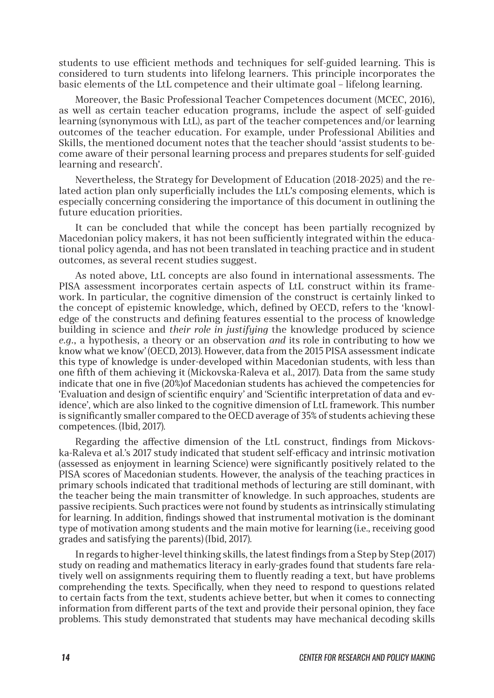students to use efficient methods and techniques for self-guided learning. This is considered to turn students into lifelong learners. This principle incorporates the basic elements of the LtL competence and their ultimate goal – lifelong learning.

Moreover, the Basic Professional Teacher Competences document (MCEC, 2016), as well as certain teacher education programs, include the aspect of self-guided learning (synonymous with LtL), as part of the teacher competences and/or learning outcomes of the teacher education. For example, under Professional Abilities and Skills, the mentioned document notes that the teacher should 'assist students to become aware of their personal learning process and prepares students for self-guided learning and research'.

Nevertheless, the Strategy for Development of Education (2018-2025) and the related action plan only superficially includes the LtL's composing elements, which is especially concerning considering the importance of this document in outlining the future education priorities.

It can be concluded that while the concept has been partially recognized by Macedonian policy makers, it has not been sufficiently integrated within the educational policy agenda, and has not been translated in teaching practice and in student outcomes, as several recent studies suggest.

As noted above, LtL concepts are also found in international assessments. The PISA assessment incorporates certain aspects of LtL construct within its framework. In particular, the cognitive dimension of the construct is certainly linked to the concept of epistemic knowledge, which, defined by OECD, refers to the 'knowledge of the constructs and defining features essential to the process of knowledge building in science and *their role in justifying* the knowledge produced by science *e.g.*, a hypothesis, a theory or an observation *and* its role in contributing to how we know what we know' (OECD, 2013). However, data from the 2015 PISA assessment indicate this type of knowledge is under-developed within Macedonian students, with less than one fifth of them achieving it (Mickovska-Raleva et al., 2017). Data from the same study indicate that one in five (20%)of Macedonian students has achieved the competencies for 'Evaluation and design of scientific enquiry' and 'Scientific interpretation of data and evidence', which are also linked to the cognitive dimension of LtL framework. This number is significantly smaller compared to the OECD average of 35% of students achieving these competences. (Ibid, 2017).

Regarding the affective dimension of the LtL construct, findings from Mickovska-Raleva et al.'s 2017 study indicated that student self-efficacy and intrinsic motivation (assessed as enjoyment in learning Science) were significantly positively related to the PISA scores of Macedonian students. However, the analysis of the teaching practices in primary schools indicated that traditional methods of lecturing are still dominant, with the teacher being the main transmitter of knowledge. In such approaches, students are passive recipients. Such practices were not found by students as intrinsically stimulating for learning. In addition, findings showed that instrumental motivation is the dominant type of motivation among students and the main motive for learning (i.e., receiving good grades and satisfying the parents) (Ibid, 2017).

In regards to higher-level thinking skills, the latest findings from a Step by Step (2017) study on reading and mathematics literacy in early-grades found that students fare relatively well on assignments requiring them to fluently reading a text, but have problems comprehending the texts. Specifically, when they need to respond to questions related to certain facts from the text, students achieve better, but when it comes to connecting information from different parts of the text and provide their personal opinion, they face problems. This study demonstrated that students may have mechanical decoding skills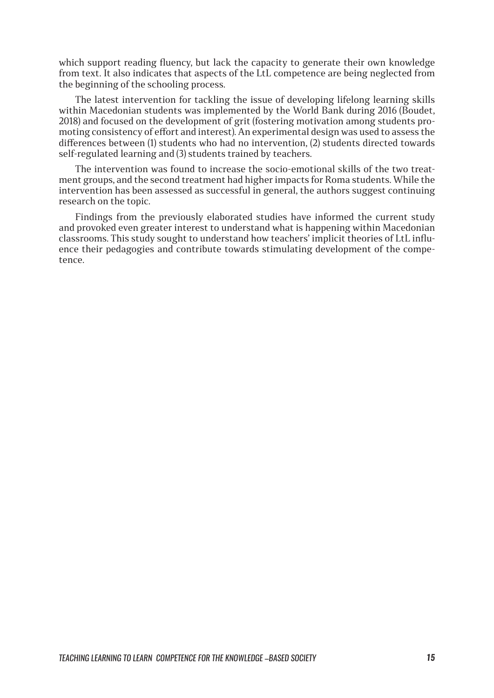which support reading fluency, but lack the capacity to generate their own knowledge from text. It also indicates that aspects of the LtL competence are being neglected from the beginning of the schooling process.

The latest intervention for tackling the issue of developing lifelong learning skills within Macedonian students was implemented by the World Bank during 2016 (Boudet, 2018) and focused on the development of grit (fostering motivation among students promoting consistency of effort and interest). An experimental design was used to assess the differences between (1) students who had no intervention, (2) students directed towards self-regulated learning and (3) students trained by teachers.

The intervention was found to increase the socio-emotional skills of the two treatment groups, and the second treatment had higher impacts for Roma students. While the intervention has been assessed as successful in general, the authors suggest continuing research on the topic.

Findings from the previously elaborated studies have informed the current study and provoked even greater interest to understand what is happening within Macedonian classrooms. This study sought to understand how teachers' implicit theories of LtL influence their pedagogies and contribute towards stimulating development of the competence.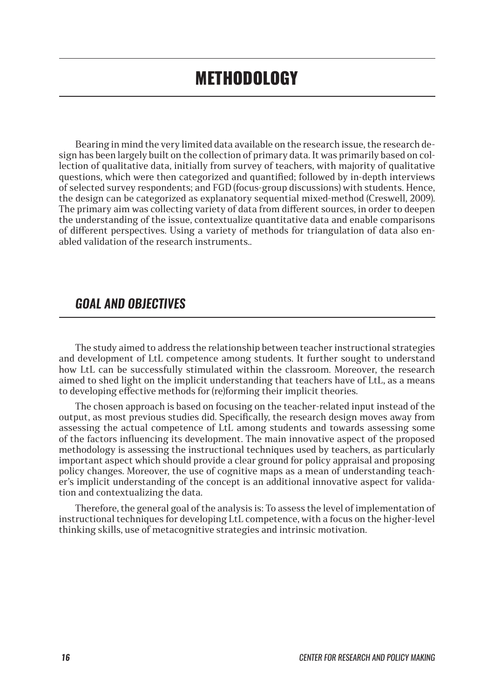Bearing in mind the very limited data available on the research issue, the research design has been largely built on the collection of primary data. It was primarily based on collection of qualitative data, initially from survey of teachers, with majority of qualitative questions, which were then categorized and quantified; followed by in-depth interviews of selected survey respondents; and FGD (focus-group discussions) with students. Hence, the design can be categorized as explanatory sequential mixed-method (Creswell, 2009). The primary aim was collecting variety of data from different sources, in order to deepen the understanding of the issue, contextualize quantitative data and enable comparisons of different perspectives. Using a variety of methods for triangulation of data also enabled validation of the research instruments..

### *GOAL AND OBJECTIVES*

The study aimed to address the relationship between teacher instructional strategies and development of LtL competence among students. It further sought to understand how LtL can be successfully stimulated within the classroom. Moreover, the research aimed to shed light on the implicit understanding that teachers have of LtL, as a means to developing effective methods for (re)forming their implicit theories.

The chosen approach is based on focusing on the teacher-related input instead of the output, as most previous studies did. Specifically, the research design moves away from assessing the actual competence of LtL among students and towards assessing some of the factors influencing its development. The main innovative aspect of the proposed methodology is assessing the instructional techniques used by teachers, as particularly important aspect which should provide a clear ground for policy appraisal and proposing policy changes. Moreover, the use of cognitive maps as a mean of understanding teacher's implicit understanding of the concept is an additional innovative aspect for validation and contextualizing the data.

Therefore, the general goal of the analysis is: To assess the level of implementation of instructional techniques for developing LtL competence, with a focus on the higher-level thinking skills, use of metacognitive strategies and intrinsic motivation.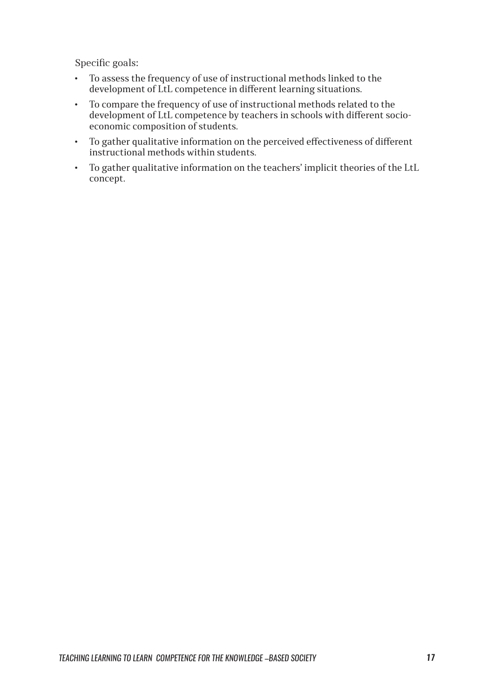Specific goals:

- To assess the frequency of use of instructional methods linked to the development of LtL competence in different learning situations.
- To compare the frequency of use of instructional methods related to the development of LtL competence by teachers in schools with different socioeconomic composition of students.
- To gather qualitative information on the perceived effectiveness of different instructional methods within students.
- To gather qualitative information on the teachers' implicit theories of the LtL concept.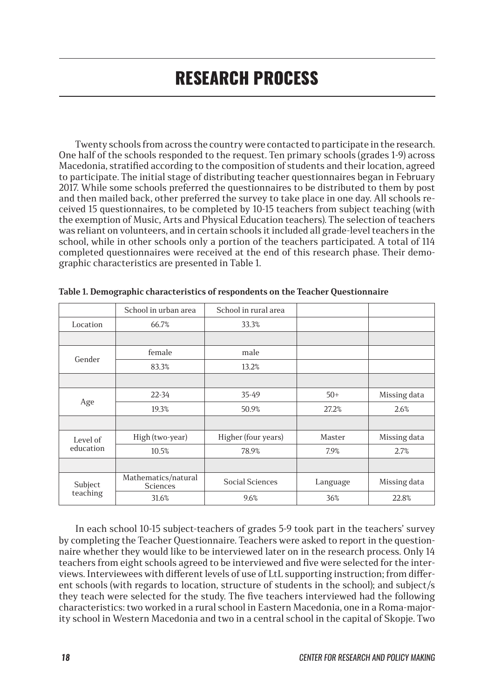# RESEARCH PROCESS

Twenty schools from across the country were contacted to participate in the research. One half of the schools responded to the request. Ten primary schools (grades 1-9) across Macedonia, stratified according to the composition of students and their location, agreed to participate. The initial stage of distributing teacher questionnaires began in February 2017. While some schools preferred the questionnaires to be distributed to them by post and then mailed back, other preferred the survey to take place in one day. All schools received 15 questionnaires, to be completed by 10-15 teachers from subject teaching (with the exemption of Music, Arts and Physical Education teachers). The selection of teachers was reliant on volunteers, and in certain schools it included all grade-level teachers in the school, while in other schools only a portion of the teachers participated. A total of 114 completed questionnaires were received at the end of this research phase. Their demographic characteristics are presented in Table 1.

|                       | School in urban area                   | School in rural area   |          |              |
|-----------------------|----------------------------------------|------------------------|----------|--------------|
| Location              | 66.7%                                  | 33.3%                  |          |              |
|                       |                                        |                        |          |              |
| Gender                | female                                 | male                   |          |              |
|                       | 83.3%                                  | 13.2%                  |          |              |
|                       |                                        |                        |          |              |
| Age                   | $22 - 34$                              | 35-49                  | $50+$    | Missing data |
|                       | 19.3%                                  | 50.9%                  | 27.2%    | 2.6%         |
|                       |                                        |                        |          |              |
| Level of<br>education | High (two-year)                        | Higher (four years)    | Master   | Missing data |
|                       | 10.5%                                  | 78.9%                  | 7.9%     | 2.7%         |
|                       |                                        |                        |          |              |
| Subject<br>teaching   | Mathematics/natural<br><b>Sciences</b> | <b>Social Sciences</b> | Language | Missing data |
|                       | 31.6%                                  | 9.6%                   | 36%      | 22.8%        |

|  |  |  | Table 1. Demographic characteristics of respondents on the Teacher Questionnaire |
|--|--|--|----------------------------------------------------------------------------------|
|  |  |  |                                                                                  |

In each school 10-15 subject-teachers of grades 5-9 took part in the teachers' survey by completing the Teacher Questionnaire. Teachers were asked to report in the questionnaire whether they would like to be interviewed later on in the research process. Only 14 teachers from eight schools agreed to be interviewed and five were selected for the interviews. Interviewees with different levels of use of LtL supporting instruction; from different schools (with regards to location, structure of students in the school); and subject/s they teach were selected for the study. The five teachers interviewed had the following characteristics: two worked in a rural school in Eastern Macedonia, one in a Roma-majority school in Western Macedonia and two in a central school in the capital of Skopje. Two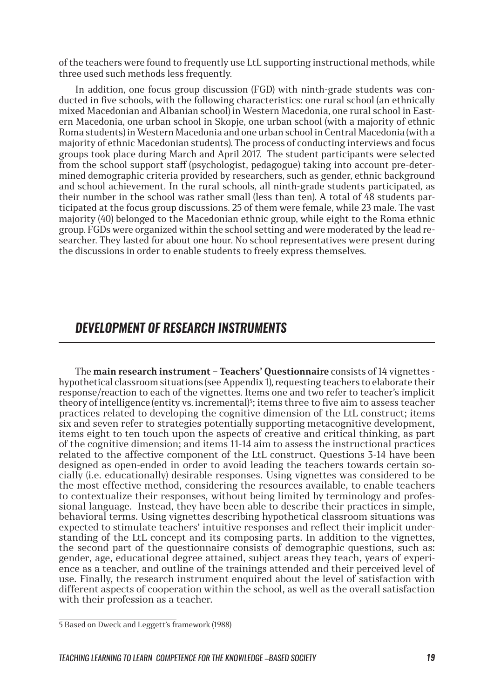of the teachers were found to frequently use LtL supporting instructional methods, while three used such methods less frequently.

In addition, one focus group discussion (FGD) with ninth-grade students was conducted in five schools, with the following characteristics: one rural school (an ethnically mixed Macedonian and Albanian school) in Western Macedonia, one rural school in Eastern Macedonia, one urban school in Skopje, one urban school (with a majority of ethnic Roma students) in Western Macedonia and one urban school in Central Macedonia (with a majority of ethnic Macedonian students). The process of conducting interviews and focus groups took place during March and April 2017. The student participants were selected from the school support staff (psychologist, pedagogue) taking into account pre-determined demographic criteria provided by researchers, such as gender, ethnic background and school achievement. In the rural schools, all ninth-grade students participated, as their number in the school was rather small (less than ten). A total of  $\overline{48}$  students participated at the focus group discussions. 25 of them were female, while 23 male. The vast majority (40) belonged to the Macedonian ethnic group, while eight to the Roma ethnic group. FGDs were organized within the school setting and were moderated by the lead researcher. They lasted for about one hour. No school representatives were present during the discussions in order to enable students to freely express themselves.

### *DEVELOPMENT OF RESEARCH INSTRUMENTS*

The **main research instrument – Teachers' Questionnaire** consists of 14 vignettes hypothetical classroom situations (see Appendix 1), requesting teachers to elaborate their response/reaction to each of the vignettes. Items one and two refer to teacher's implicit theory of intelligence (entity vs. incremental)<sup>5</sup>; items three to five aim to assess teacher practices related to developing the cognitive dimension of the LtL construct; items six and seven refer to strategies potentially supporting metacognitive development, items eight to ten touch upon the aspects of creative and critical thinking, as part of the cognitive dimension; and items 11-14 aim to assess the instructional practices related to the affective component of the LtL construct. Questions 3-14 have been designed as open-ended in order to avoid leading the teachers towards certain socially (i.e. educationally) desirable responses. Using vignettes was considered to be the most effective method, considering the resources available, to enable teachers to contextualize their responses, without being limited by terminology and professional language. Instead, they have been able to describe their practices in simple, behavioral terms. Using vignettes describing hypothetical classroom situations was expected to stimulate teachers' intuitive responses and reflect their implicit understanding of the LtL concept and its composing parts. In addition to the vignettes, the second part of the questionnaire consists of demographic questions, such as: gender, age, educational degree attained, subject areas they teach, years of experience as a teacher, and outline of the trainings attended and their perceived level of use. Finally, the research instrument enquired about the level of satisfaction with different aspects of cooperation within the school, as well as the overall satisfaction with their profession as a teacher.

<sup>5</sup> Based on Dweck and Leggett's framework (1988)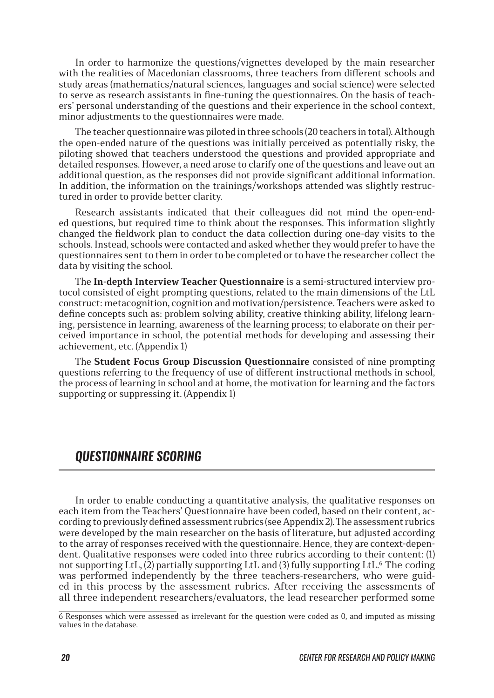In order to harmonize the questions/vignettes developed by the main researcher with the realities of Macedonian classrooms, three teachers from different schools and study areas (mathematics/natural sciences, languages and social science) were selected to serve as research assistants in fine-tuning the questionnaires. On the basis of teachers' personal understanding of the questions and their experience in the school context, minor adjustments to the questionnaires were made.

The teacher questionnaire was piloted in three schools (20 teachers in total). Although the open-ended nature of the questions was initially perceived as potentially risky, the piloting showed that teachers understood the questions and provided appropriate and detailed responses. However, a need arose to clarify one of the questions and leave out an additional question, as the responses did not provide significant additional information. In addition, the information on the trainings/workshops attended was slightly restructured in order to provide better clarity.

Research assistants indicated that their colleagues did not mind the open-ended questions, but required time to think about the responses. This information slightly changed the fieldwork plan to conduct the data collection during one-day visits to the schools. Instead, schools were contacted and asked whether they would prefer to have the questionnaires sent to them in order to be completed or to have the researcher collect the data by visiting the school.

The **In-depth Interview Teacher Questionnaire** is a semi-structured interview protocol consisted of eight prompting questions, related to the main dimensions of the LtL construct: metacognition, cognition and motivation/persistence. Teachers were asked to define concepts such as: problem solving ability, creative thinking ability, lifelong learning, persistence in learning, awareness of the learning process; to elaborate on their perceived importance in school, the potential methods for developing and assessing their achievement, etc. (Appendix 1)

The **Student Focus Group Discussion Questionnaire** consisted of nine prompting questions referring to the frequency of use of different instructional methods in school, the process of learning in school and at home, the motivation for learning and the factors supporting or suppressing it. (Appendix 1)

### *QUESTIONNAIRE SCORING*

In order to enable conducting a quantitative analysis, the qualitative responses on each item from the Teachers' Questionnaire have been coded, based on their content, according to previously defined assessment rubrics (see Appendix 2). The assessment rubrics were developed by the main researcher on the basis of literature, but adjusted according to the array of responses received with the questionnaire. Hence, they are context-dependent. Qualitative responses were coded into three rubrics according to their content: (1) not supporting LtL, (2) partially supporting LtL and (3) fully supporting LtL.6 The coding was performed independently by the three teachers-researchers, who were guided in this process by the assessment rubrics. After receiving the assessments of all three independent researchers/evaluators, the lead researcher performed some

<sup>6</sup> Responses which were assessed as irrelevant for the question were coded as 0, and imputed as missing values in the database.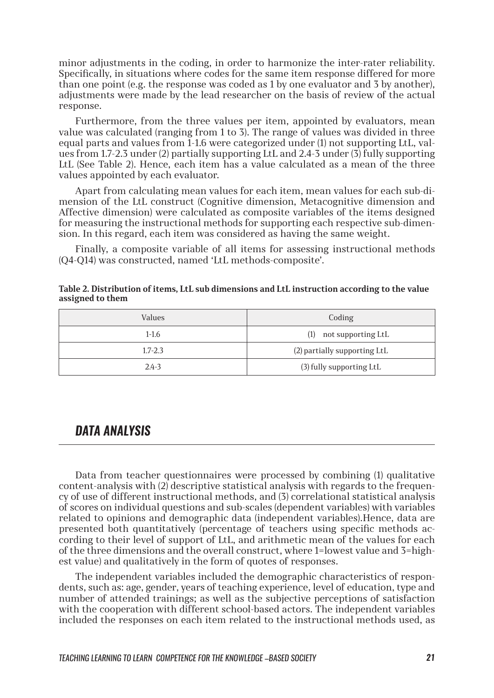minor adjustments in the coding, in order to harmonize the inter-rater reliability. Specifically, in situations where codes for the same item response differed for more than one point (e.g. the response was coded as 1 by one evaluator and 3 by another), adjustments were made by the lead researcher on the basis of review of the actual response.

Furthermore, from the three values per item, appointed by evaluators, mean value was calculated (ranging from 1 to 3). The range of values was divided in three equal parts and values from 1-1.6 were categorized under (1) not supporting LtL, values from 1.7-2.3 under (2) partially supporting LtL and 2.4-3 under (3) fully supporting LtL (See Table 2). Hence, each item has a value calculated as a mean of the three values appointed by each evaluator.

Apart from calculating mean values for each item, mean values for each sub-dimension of the LtL construct (Cognitive dimension, Metacognitive dimension and Affective dimension) were calculated as composite variables of the items designed for measuring the instructional methods for supporting each respective sub-dimension. In this regard, each item was considered as having the same weight.

Finally, a composite variable of all items for assessing instructional methods (Q4-Q14) was constructed, named 'LtL methods-composite'.

| Table 2. Distribution of items, LtL sub dimensions and LtL instruction according to the value |
|-----------------------------------------------------------------------------------------------|
| assigned to them                                                                              |

| Values      | Coding                       |
|-------------|------------------------------|
| $1-1.6$     | $(1)$ not supporting LtL     |
| $1.7 - 2.3$ | (2) partially supporting LtL |
| $2.4 - 3$   | (3) fully supporting LtL     |

### *DATA ANALYSIS*

Data from teacher questionnaires were processed by combining (1) qualitative content-analysis with (2) descriptive statistical analysis with regards to the frequency of use of different instructional methods, and (3) correlational statistical analysis of scores on individual questions and sub-scales (dependent variables) with variables related to opinions and demographic data (independent variables).Hence, data are presented both quantitatively (percentage of teachers using specific methods according to their level of support of LtL, and arithmetic mean of the values for each of the three dimensions and the overall construct, where 1=lowest value and 3=highest value) and qualitatively in the form of quotes of responses.

The independent variables included the demographic characteristics of respondents, such as: age, gender, years of teaching experience, level of education, type and number of attended trainings; as well as the subjective perceptions of satisfaction with the cooperation with different school-based actors. The independent variables included the responses on each item related to the instructional methods used, as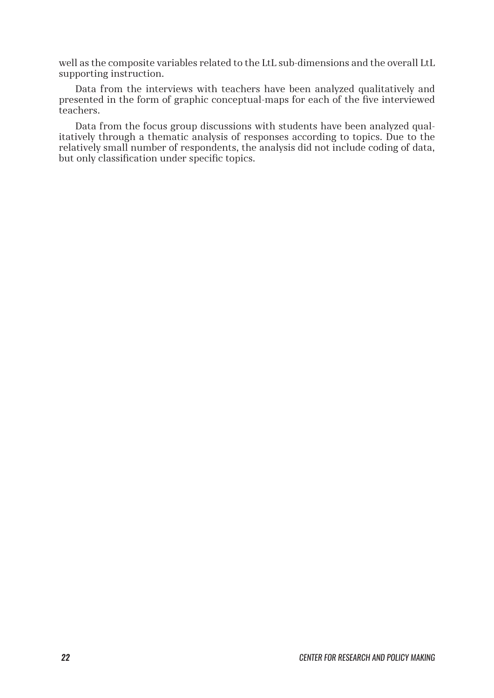well as the composite variables related to the LtL sub-dimensions and the overall LtL supporting instruction.

Data from the interviews with teachers have been analyzed qualitatively and presented in the form of graphic conceptual-maps for each of the five interviewed teachers.

Data from the focus group discussions with students have been analyzed qualitatively through a thematic analysis of responses according to topics. Due to the relatively small number of respondents, the analysis did not include coding of data, but only classification under specific topics.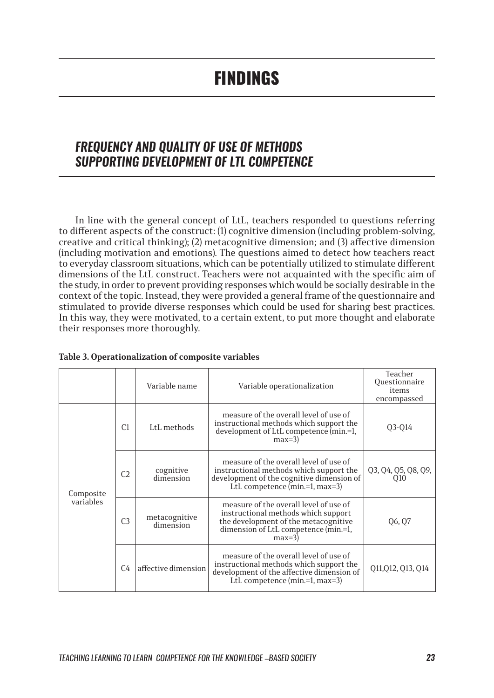## FINDINGS

### *FREQUENCY AND QUALITY OF USE OF METHODS SUPPORTING DEVELOPMENT OF LTL COMPETENCE*

In line with the general concept of LtL, teachers responded to questions referring to different aspects of the construct: (1) cognitive dimension (including problem-solving, creative and critical thinking); (2) metacognitive dimension; and (3) affective dimension (including motivation and emotions). The questions aimed to detect how teachers react to everyday classroom situations, which can be potentially utilized to stimulate different dimensions of the LtL construct. Teachers were not acquainted with the specific aim of the study, in order to prevent providing responses which would be socially desirable in the context of the topic. Instead, they were provided a general frame of the questionnaire and stimulated to provide diverse responses which could be used for sharing best practices. In this way, they were motivated, to a certain extent, to put more thought and elaborate their responses more thoroughly.

|                        |                | Variable name              | Variable operationalization                                                                                                                                              | Teacher<br>Questionnaire<br>items<br>encompassed |
|------------------------|----------------|----------------------------|--------------------------------------------------------------------------------------------------------------------------------------------------------------------------|--------------------------------------------------|
| Composite<br>variables | C1             | LtL methods                | measure of the overall level of use of<br>instructional methods which support the<br>development of LtL competence (min.=1,<br>$max=3$                                   | Q3-Q14                                           |
|                        | C <sub>2</sub> | cognitive<br>dimension     | measure of the overall level of use of<br>instructional methods which support the<br>development of the cognitive dimension of<br>LtL competence $(min=1, max=3)$        | Q3, Q4, Q5, Q8, Q9,<br>O <sub>10</sub>           |
|                        | C <sub>3</sub> | metacognitive<br>dimension | measure of the overall level of use of<br>instructional methods which support<br>the development of the metacognitive<br>dimension of LtL competence (min.=1,<br>$max=3$ | Q6, Q7                                           |
|                        | C4             | affective dimension        | measure of the overall level of use of<br>instructional methods which support the<br>development of the affective dimension of<br>LtL competence (min.=1, max=3)         | Q11, Q12, Q13, Q14                               |

#### **Table 3. Operationalization of composite variables**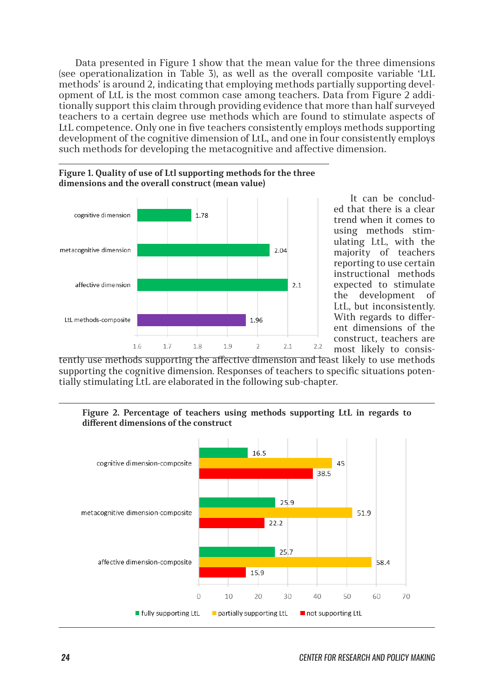Data presented in Figure 1 show that the mean value for the three dimensions (see operationalization in Table 3), as well as the overall composite variable 'LtL methods' is around 2, indicating that employing methods partially supporting development of LtL is the most common case among teachers. Data from Figure 2 additionally support this claim through providing evidence that more than half surveyed teachers to a certain degree use methods which are found to stimulate aspects of LtL competence. Only one in five teachers consistently employs methods supporting development of the cognitive dimension of LtL, and one in four consistently employs such methods for developing the metacognitive and affective dimension.





It can be concluded that there is a clear trend when it comes to using methods stimulating LtL, with the majority of teachers reporting to use certain instructional methods expected to stimulate the development of LtL, but inconsistently. With regards to different dimensions of the construct, teachers are most likely to consis-

tently use methods supporting the affective dimension and least likely to use methods supporting the cognitive dimension. Responses of teachers to specific situations potentially stimulating LtL are elaborated in the following sub-chapter.

**Figure 2. Percentage of teachers using methods supporting LtL in regards to different dimensions of the construct** 

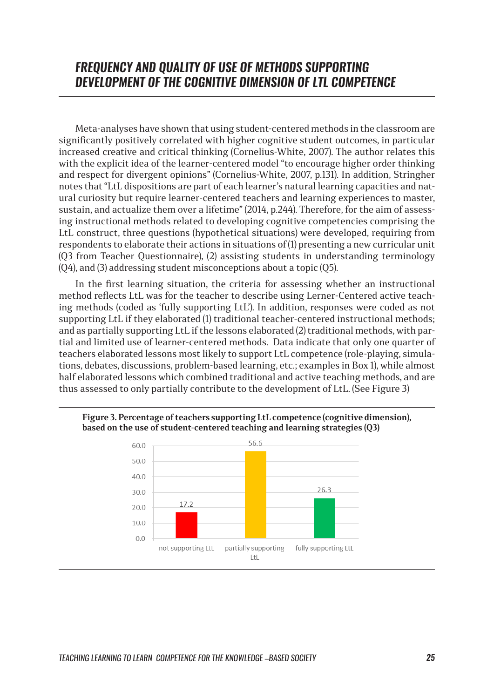## *FREQUENCY AND QUALITY OF USE OF METHODS SUPPORTING DEVELOPMENT OF THE COGNITIVE DIMENSION OF LTL COMPETENCE*

Meta-analyses have shown that using student-centered methods in the classroom are significantly positively correlated with higher cognitive student outcomes, in particular increased creative and critical thinking (Cornelius-White, 2007). The author relates this with the explicit idea of the learner-centered model "to encourage higher order thinking and respect for divergent opinions" (Cornelius-White, 2007, p.131). In addition, Stringher notes that "LtL dispositions are part of each learner's natural learning capacities and natural curiosity but require learner-centered teachers and learning experiences to master, sustain, and actualize them over a lifetime" (2014, p.244). Therefore, for the aim of assessing instructional methods related to developing cognitive competencies comprising the LtL construct, three questions (hypothetical situations) were developed, requiring from respondents to elaborate their actions in situations of (1) presenting a new curricular unit (Q3 from Teacher Questionnaire), (2) assisting students in understanding terminology (Q4), and (3) addressing student misconceptions about a topic (Q5).

In the first learning situation, the criteria for assessing whether an instructional method reflects LtL was for the teacher to describe using Lerner-Centered active teaching methods (coded as 'fully supporting LtL'). In addition, responses were coded as not supporting LtL if they elaborated (1) traditional teacher-centered instructional methods; and as partially supporting LtL if the lessons elaborated (2) traditional methods, with partial and limited use of learner-centered methods. Data indicate that only one quarter of teachers elaborated lessons most likely to support LtL competence (role-playing, simulations, debates, discussions, problem-based learning, etc.; examples in Box 1), while almost half elaborated lessons which combined traditional and active teaching methods, and are thus assessed to only partially contribute to the development of LtL. (See Figure 3)



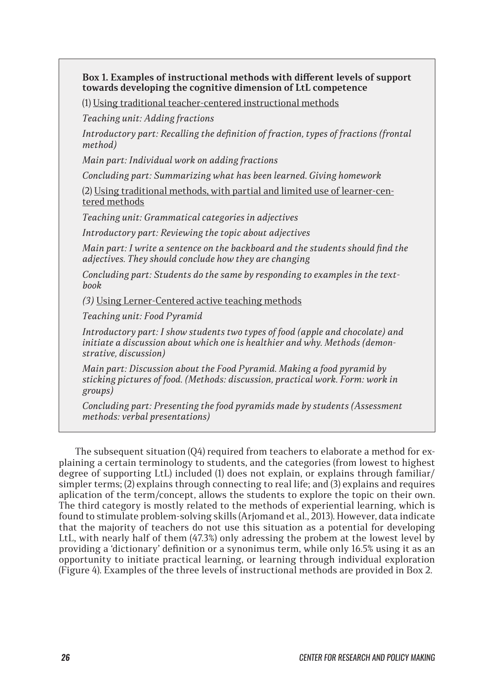#### **Box 1. Examples of instructional methods with different levels of support towards developing the cognitive dimension of LtL competence**

(1) Using traditional teacher-centered instructional methods

*Teaching unit: Adding fractions*

*Introductory part: Recalling the definition of fraction, types of fractions (frontal method)*

*Main part: Individual work on adding fractions*

*Concluding part: Summarizing what has been learned. Giving homework*

(2) Using traditional methods, with partial and limited use of learner-centered methods

*Teaching unit: Grammatical categories in adjectives*

*Introductory part: Reviewing the topic about adjectives*

*Main part: I write a sentence on the backboard and the students should find the adjectives. They should conclude how they are changing*

*Concluding part: Students do the same by responding to examples in the textbook*

*(3)* Using Lerner-Centered active teaching methods

*Teaching unit: Food Pyramid*

*Introductory part: I show students two types of food (apple and chocolate) and initiate a discussion about which one is healthier and why. Methods (demonstrative, discussion)*

*Main part: Discussion about the Food Pyramid. Making a food pyramid by sticking pictures of food. (Methods: discussion, practical work. Form: work in groups)*

*Concluding part: Presenting the food pyramids made by students (Assessment methods: verbal presentations)*

The subsequent situation (Q4) required from teachers to elaborate a method for explaining a certain terminology to students, and the categories (from lowest to highest degree of supporting LtL) included (1) does not explain, or explains through familiar/ simpler terms; (2) explains through connecting to real life; and (3) explains and requires aplication of the term/concept, allows the students to explore the topic on their own. The third category is mostly related to the methods of experiential learning, which is found to stimulate problem-solving skills (Arjomand et al., 2013). However, data indicate that the majority of teachers do not use this situation as a potential for developing LtL, with nearly half of them (47.3%) only adressing the probem at the lowest level by providing a 'dictionary' definition or a synonimus term, while only 16.5% using it as an opportunity to initiate practical learning, or learning through individual exploration (Figure 4). Examples of the three levels of instructional methods are provided in Box 2.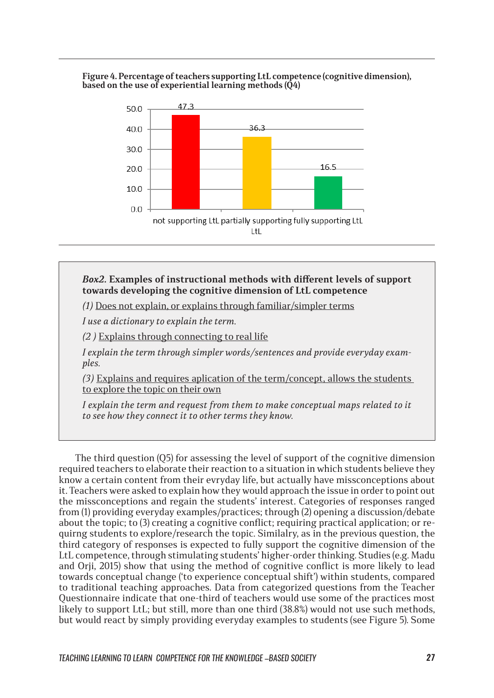#### **Figure 4. Percentage of teachers supporting LtL competence (cognitive dimension), based on the use of experiential learning methods (Q4)**



#### *Box2.* **Examples of instructional methods with different levels of support towards developing the cognitive dimension of LtL competence**

*(1)* Does not explain, or explains through familiar/simpler terms

*I use a dictionary to explain the term.*

*(2 )* Explains through connecting to real life

*I explain the term through simpler words/sentences and provide everyday examples.*

*(3)* Explains and requires aplication of the term/concept, allows the students to explore the topic on their own

*I explain the term and request from them to make conceptual maps related to it to see how they connect it to other terms they know.* 

The third question (Q5) for assessing the level of support of the cognitive dimension required teachers to elaborate their reaction to a situation in which students believe they know a certain content from their evryday life, but actually have missconceptions about it. Teachers were asked to explain how they would approach the issue in order to point out the missconceptions and regain the students' interest. Categories of responses ranged from (1) providing everyday examples/practices; through (2) opening a discussion/debate about the topic; to (3) creating a cognitive conflict; requiring practical application; or requirng students to explore/research the topic. Similalry, as in the previous question, the third category of responses is expected to fully support the cognitive dimension of the LtL competence, through stimulating students' higher-order thinking. Studies (e.g. Madu and Orji, 2015) show that using the method of cognitive conflict is more likely to lead towards conceptual change ('to experience conceptual shift') within students, compared to traditional teaching approaches. Data from categorized questions from the Teacher Questionnaire indicate that one-third of teachers would use some of the practices most likely to support LtL; but still, more than one third (38.8%) would not use such methods, but would react by simply providing everyday examples to students (see Figure 5). Some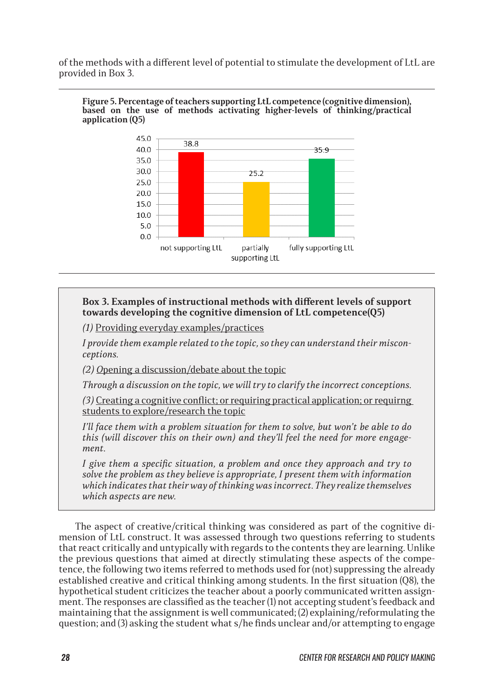of the methods with a different level of potential to stimulate the development of LtL are provided in Box 3.

**Figure 5. Percentage of teachers supporting LtL competence (cognitive dimension), based on the use of methods activating higher-levels of thinking/practical application (Q5)**



#### **Box 3. Examples of instructional methods with different levels of support towards developing the cognitive dimension of LtL competence(Q5)**

*(1)* Providing everyday examples/practices

*I provide them example related to the topic, so they can understand their misconceptions.*

*(2) O*pening a discussion/debate about the topic

*Through a discussion on the topic, we will try to clarify the incorrect conceptions.*

*(3)* Creating a cognitive conflict; or requiring practical application; or requirng students to explore/research the topic

*I'll face them with a problem situation for them to solve, but won't be able to do this (will discover this on their own) and they'll feel the need for more engagement.*

*I* give them a specific situation, a problem and once they approach and try to *solve the problem as they believe is appropriate, I present them with information which indicates that their way of thinking was incorrect. They realize themselves which aspects are new.*

The aspect of creative/critical thinking was considered as part of the cognitive dimension of LtL construct. It was assessed through two questions referring to students that react critically and untypically with regards to the contents they are learning. Unlike the previous questions that aimed at directly stimulating these aspects of the competence, the following two items referred to methods used for (not) suppressing the already established creative and critical thinking among students. In the first situation (Q8), the hypothetical student criticizes the teacher about a poorly communicated written assignment. The responses are classified as the teacher (1) not accepting student's feedback and maintaining that the assignment is well communicated; (2) explaining/reformulating the question; and (3) asking the student what s/he finds unclear and/or attempting to engage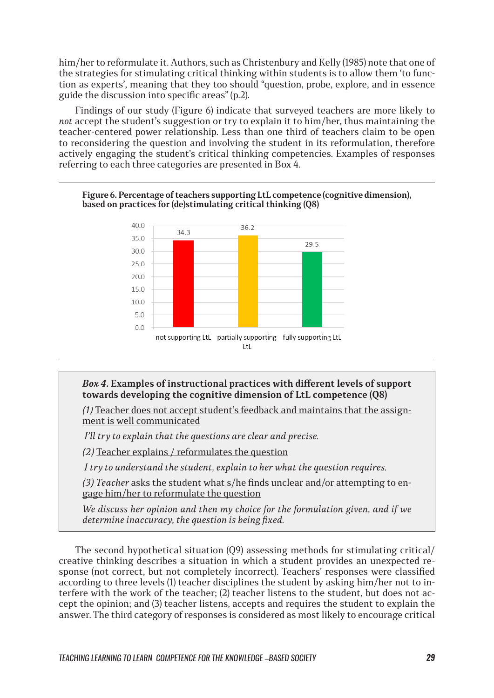him/her to reformulate it. Authors, such as Christenbury and Kelly (1985) note that one of the strategies for stimulating critical thinking within students is to allow them 'to function as experts', meaning that they too should "question, probe, explore, and in essence guide the discussion into specific areas" (p.2).

Findings of our study (Figure 6) indicate that surveyed teachers are more likely to *not* accept the student's suggestion or try to explain it to him/her, thus maintaining the teacher-centered power relationship. Less than one third of teachers claim to be open to reconsidering the question and involving the student in its reformulation, therefore actively engaging the student's critical thinking competencies. Examples of responses referring to each three categories are presented in Box 4.



#### **Figure 6. Percentage of teachers supporting LtL competence (cognitive dimension), based on practices for (de)stimulating critical thinking (Q8)**

#### *Box 4.* **Examples of instructional practices with different levels of support towards developing the cognitive dimension of LtL competence (Q8)**

*(1)* Teacher does not accept student's feedback and maintains that the assignment is well communicated

 *I'll try to explain that the questions are clear and precise.*

*(2)* Teacher explains / reformulates the question

 *I try to understand the student, explain to her what the question requires.*

*(3) Teacher asks the student what s/he finds unclear and/or attempting to en*gage him/her to reformulate the question

*We discuss her opinion and then my choice for the formulation given, and if we determine inaccuracy, the question is being fixed.* 

The second hypothetical situation (Q9) assessing methods for stimulating critical/ creative thinking describes a situation in which a student provides an unexpected response (not correct, but not completely incorrect). Teachers' responses were classified according to three levels (1) teacher disciplines the student by asking him/her not to interfere with the work of the teacher; (2) teacher listens to the student, but does not accept the opinion; and (3) teacher listens, accepts and requires the student to explain the answer. The third category of responses is considered as most likely to encourage critical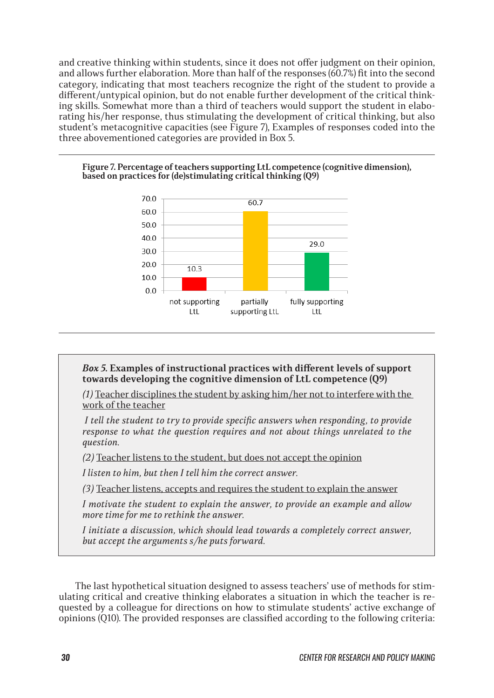and creative thinking within students, since it does not offer judgment on their opinion, and allows further elaboration. More than half of the responses (60.7%) fit into the second category, indicating that most teachers recognize the right of the student to provide a different/untypical opinion, but do not enable further development of the critical thinking skills. Somewhat more than a third of teachers would support the student in elaborating his/her response, thus stimulating the development of critical thinking, but also student's metacognitive capacities (see Figure 7), Examples of responses coded into the three abovementioned categories are provided in Box 5.



#### **Figure 7. Percentage of teachers supporting LtL competence (cognitive dimension), based on practices for (de)stimulating critical thinking (Q9)**

#### *Box 5.* **Examples of instructional practices with different levels of support towards developing the cognitive dimension of LtL competence (Q9)**

*(1)* Teacher disciplines the student by asking him/her not to interfere with the work of the teacher

 *I tell the student to try to provide specific answers when responding, to provide response to what the question requires and not about things unrelated to the question.*

*(2)* Teacher listens to the student, but does not accept the opinion

*I listen to him, but then I tell him the correct answer.*

*(3)* Teacher listens, accepts and requires the student to explain the answer

*I motivate the student to explain the answer, to provide an example and allow more time for me to rethink the answer.*

*I initiate a discussion, which should lead towards a completely correct answer, but accept the arguments s/he puts forward.*

The last hypothetical situation designed to assess teachers' use of methods for stimulating critical and creative thinking elaborates a situation in which the teacher is requested by a colleague for directions on how to stimulate students' active exchange of opinions (Q10). The provided responses are classified according to the following criteria: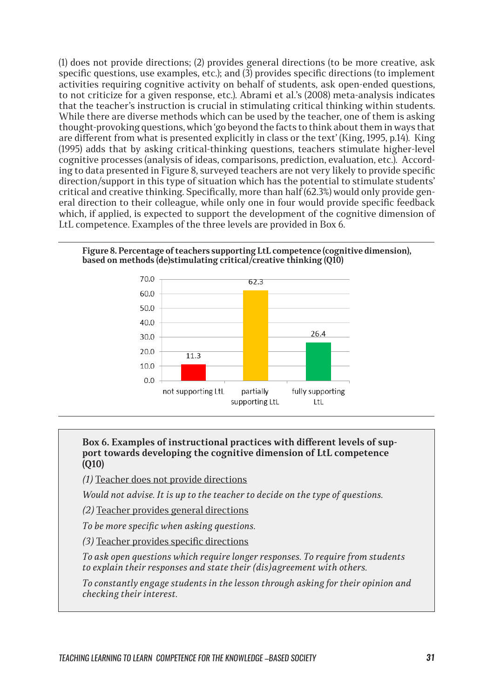(1) does not provide directions; (2) provides general directions (to be more creative, ask specific questions, use examples, etc.); and  $(3)$  provides specific directions (to implement activities requiring cognitive activity on behalf of students, ask open-ended questions, to not criticize for a given response, etc.). Abrami et al.'s (2008) meta-analysis indicates that the teacher's instruction is crucial in stimulating critical thinking within students. While there are diverse methods which can be used by the teacher, one of them is asking thought-provoking questions, which 'go beyond the facts to think about them in ways that are different from what is presented explicitly in class or the text' (King, 1995, p.14). King (1995) adds that by asking critical-thinking questions, teachers stimulate higher-level cognitive processes (analysis of ideas, comparisons, prediction, evaluation, etc.). According to data presented in Figure 8, surveyed teachers are not very likely to provide specific direction/support in this type of situation which has the potential to stimulate students' critical and creative thinking. Specifically, more than half  $(62.3%)$  would only provide general direction to their colleague, while only one in four would provide specific feedback which, if applied, is expected to support the development of the cognitive dimension of LtL competence. Examples of the three levels are provided in Box 6.

#### **Figure 8. Percentage of teachers supporting LtL competence (cognitive dimension), based on methods (de)stimulating critical/creative thinking (Q10)**



#### **Box 6. Examples of instructional practices with different levels of support towards developing the cognitive dimension of LtL competence (Q10)**

*(1)* Teacher does not provide directions

*Would not advise. It is up to the teacher to decide on the type of questions.*

*(2)* Teacher provides general directions

*To be more specific when asking questions.*

*(3)* Teacher provides specific directions

*To ask open questions which require longer responses. To require from students to explain their responses and state their (dis)agreement with others.* 

*To constantly engage students in the lesson through asking for their opinion and checking their interest.*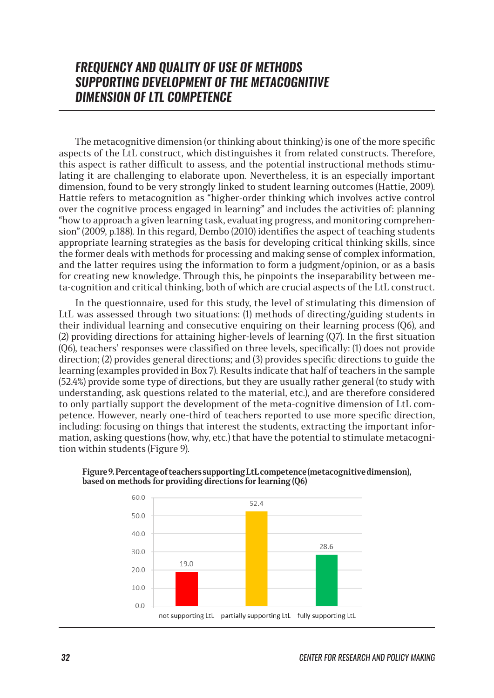## *FREQUENCY AND QUALITY OF USE OF METHODS SUPPORTING DEVELOPMENT OF THE METACOGNITIVE DIMENSION OF LTL COMPETENCE*

The metacognitive dimension (or thinking about thinking) is one of the more specific aspects of the LtL construct, which distinguishes it from related constructs. Therefore, this aspect is rather difficult to assess, and the potential instructional methods stimulating it are challenging to elaborate upon. Nevertheless, it is an especially important dimension, found to be very strongly linked to student learning outcomes (Hattie, 2009). Hattie refers to metacognition as "higher-order thinking which involves active control over the cognitive process engaged in learning" and includes the activities of: planning "how to approach a given learning task, evaluating progress, and monitoring comprehension" (2009, p.188). In this regard, Dembo (2010) identifies the aspect of teaching students appropriate learning strategies as the basis for developing critical thinking skills, since the former deals with methods for processing and making sense of complex information, and the latter requires using the information to form a judgment/opinion, or as a basis for creating new knowledge. Through this, he pinpoints the inseparability between meta-cognition and critical thinking, both of which are crucial aspects of the LtL construct.

In the questionnaire, used for this study, the level of stimulating this dimension of LtL was assessed through two situations: (1) methods of directing/guiding students in their individual learning and consecutive enquiring on their learning process (Q6), and (2) providing directions for attaining higher-levels of learning (Q7). In the first situation (Q6), teachers' responses were classified on three levels, specifically: (1) does not provide direction; (2) provides general directions; and (3) provides specific directions to guide the learning (examples provided in Box 7). Results indicate that half of teachers in the sample (52.4%) provide some type of directions, but they are usually rather general (to study with understanding, ask questions related to the material, etc.), and are therefore considered to only partially support the development of the meta-cognitive dimension of LtL competence. However, nearly one-third of teachers reported to use more specific direction, including: focusing on things that interest the students, extracting the important information, asking questions (how, why, etc.) that have the potential to stimulate metacognition within students (Figure 9).



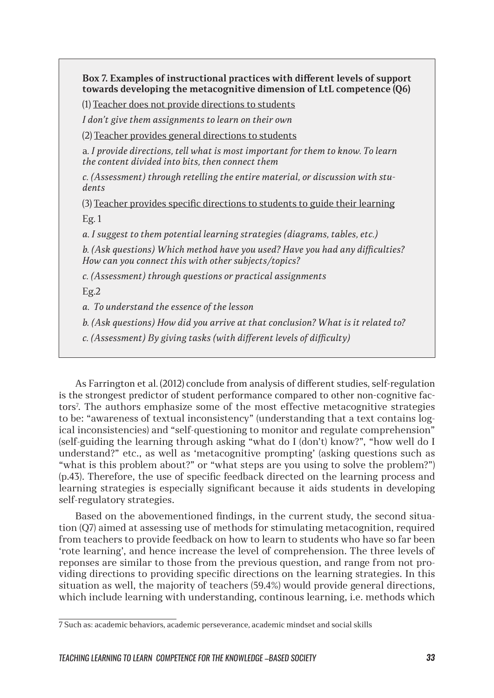**Box 7. Examples of instructional practices with different levels of support towards developing the metacognitive dimension of LtL competence (Q6)**

(1) Teacher does not provide directions to students

*I don't give them assignments to learn on their own*

(2) Teacher provides general directions to students

a*. I provide directions, tell what is most important for them to know. To learn the content divided into bits, then connect them*

*c. (Assessment) through retelling the entire material, or discussion with students*

(3) Teacher provides specific directions to students to guide their learning Eg. 1

*а. I suggest to them potential learning strategies (diagrams, tables, etc.)* 

*b. (Ask questions) Which method have you used? Have you had any difficulties? How can you connect this with other subjects/topics?* 

*c. (Assessment) through questions or practical assignments*

Eg.2

*а. To understand the essence of the lesson*

*b. (Ask questions) How did you arrive at that conclusion? What is it related to?*

*c. (Assessment) By giving tasks (with different levels of difficulty)*

As Farrington et al. (2012) conclude from analysis of different studies, self-regulation is the strongest predictor of student performance compared to other non-cognitive factors<sup>7</sup> . The authors emphasize some of the most effective metacognitive strategies to be: "awareness of textual inconsistency" (understanding that a text contains logical inconsistencies) and "self-questioning to monitor and regulate comprehension" (self-guiding the learning through asking "what do I (don't) know?", "how well do I understand?" etc., as well as 'metacognitive prompting' (asking questions such as "what is this problem about?" or "what steps are you using to solve the problem?") (p.43). Therefore, the use of specific feedback directed on the learning process and learning strategies is especially significant because it aids students in developing self-regulatory strategies.

Based on the abovementioned findings, in the current study, the second situation (Q7) aimed at assessing use of methods for stimulating metacognition, required from teachers to provide feedback on how to learn to students who have so far been 'rote learning', and hence increase the level of comprehension. The three levels of reponses are similar to those from the previous question, and range from not providing directions to providing specific directions on the learning strategies. In this situation as well, the majority of teachers (59.4%) would provide general directions, which include learning with understanding, continous learning, i.e. methods which

<sup>7</sup> Such as: academic behaviors, academic perseverance, academic mindset and social skills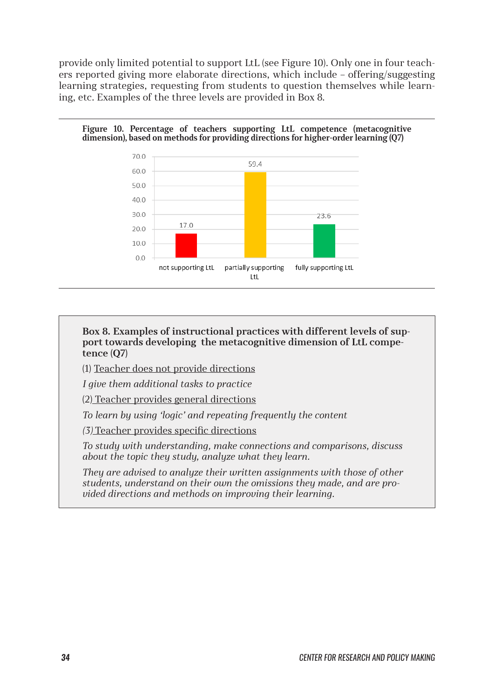provide only limited potential to support LtL (see Figure 10). Only one in four teachers reported giving more elaborate directions, which include – offering/suggesting learning strategies, requesting from students to question themselves while learning, etc. Examples of the three levels are provided in Box 8.

#### **Figure 10. Percentage of teachers supporting LtL competence (metacognitive dimension), based on methods for providing directions for higher-order learning (Q7)**



**Box 8. Examples of instructional practices with different levels of support towards developing the metacognitive dimension of LtL competence (Q7)**

(1) Teacher does not provide directions

*I give them additional tasks to practice*

(2) Teacher provides general directions

*To learn by using 'logic' and repeating frequently the content*

*(3)* Teacher provides specific directions

*To study with understanding, make connections and comparisons, discuss about the topic they study, analyze what they learn.*

*They are advised to analyze their written assignments with those of other students, understand on their own the omissions they made, and are provided directions and methods on improving their learning.*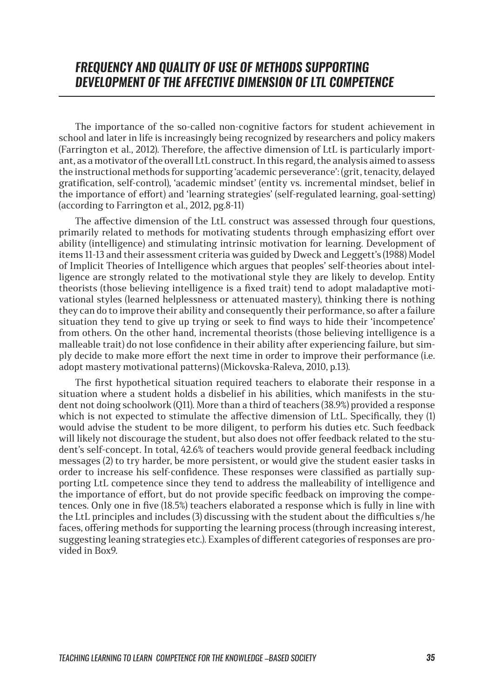## *FREQUENCY AND QUALITY OF USE OF METHODS SUPPORTING DEVELOPMENT OF THE AFFECTIVE DIMENSION OF LTL COMPETENCE*

The importance of the so-called non-cognitive factors for student achievement in school and later in life is increasingly being recognized by researchers and policy makers (Farrington et al., 2012). Therefore, the affective dimension of LtL is particularly important, as a motivator of the overall LtL construct. In this regard, the analysis aimed to assess the instructional methods for supporting 'academic perseverance': (grit, tenacity, delayed gratification, self-control), 'academic mindset' (entity vs. incremental mindset, belief in the importance of effort) and 'learning strategies' (self-regulated learning, goal-setting) (according to Farrington et al., 2012, pg.8-11)

The affective dimension of the LtL construct was assessed through four questions, primarily related to methods for motivating students through emphasizing effort over ability (intelligence) and stimulating intrinsic motivation for learning. Development of items 11-13 and their assessment criteria was guided by Dweck and Leggett's (1988) Model of Implicit Theories of Intelligence which argues that peoples' self-theories about intelligence are strongly related to the motivational style they are likely to develop. Entity theorists (those believing intelligence is a fixed trait) tend to adopt maladaptive motivational styles (learned helplessness or attenuated mastery), thinking there is nothing they can do to improve their ability and consequently their performance, so after a failure situation they tend to give up trying or seek to find ways to hide their 'incompetence' from others. On the other hand, incremental theorists (those believing intelligence is a malleable trait) do not lose confidence in their ability after experiencing failure, but simply decide to make more effort the next time in order to improve their performance (i.e. adopt mastery motivational patterns) (Mickovska-Raleva, 2010, p.13).

The first hypothetical situation required teachers to elaborate their response in a situation where a student holds a disbelief in his abilities, which manifests in the student not doing schoolwork (Q11). More than a third of teachers (38.9%) provided a response which is not expected to stimulate the affective dimension of LtL. Specifically, they (1) would advise the student to be more diligent, to perform his duties etc. Such feedback will likely not discourage the student, but also does not offer feedback related to the student's self-concept. In total, 42.6% of teachers would provide general feedback including messages (2) to try harder, be more persistent, or would give the student easier tasks in order to increase his self-confidence. These responses were classified as partially supporting LtL competence since they tend to address the malleability of intelligence and the importance of effort, but do not provide specific feedback on improving the competences. Only one in five (18.5%) teachers elaborated a response which is fully in line with the LtL principles and includes (3) discussing with the student about the difficulties s/he faces, offering methods for supporting the learning process (through increasing interest, suggesting leaning strategies etc.). Examples of different categories of responses are provided in Box9.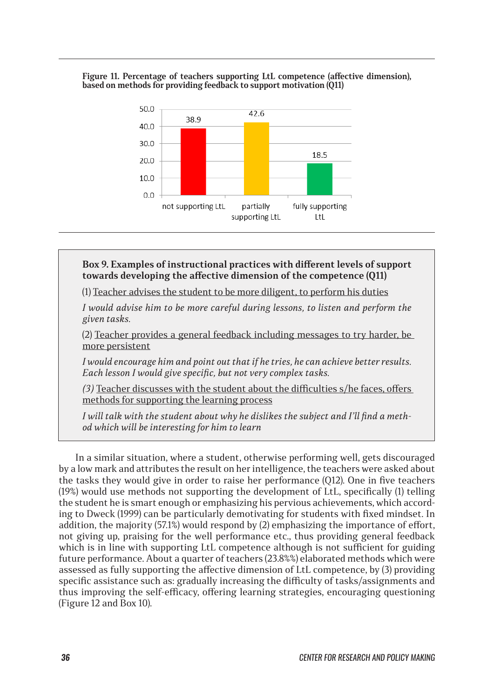#### **Figure 11. Percentage of teachers supporting LtL competence (affective dimension), based on methods for providing feedback to support motivation (Q11)**



#### **Box 9. Examples of instructional practices with different levels of support towards developing the affective dimension of the competence (Q11)**

(1) Teacher advises the student to be more diligent, to perform his duties

*I would advise him to be more careful during lessons, to listen and perform the given tasks.*

(2) Teacher provides a general feedback including messages to try harder, be more persistent

*I would encourage him and point out that if he tries, he can achieve better results. Each lesson I would give specific, but not very complex tasks.*

*(3)* Teacher discusses with the student about the difficulties s/he faces, offers methods for supporting the learning process

*I will talk with the student about why he dislikes the subject and I'll find a method which will be interesting for him to learn*

In a similar situation, where a student, otherwise performing well, gets discouraged by a low mark and attributes the result on her intelligence, the teachers were asked about the tasks they would give in order to raise her performance (Q12). One in five teachers (19%) would use methods not supporting the development of LtL, specifically (1) telling the student he is smart enough or emphasizing his pervious achievements, which according to Dweck (1999) can be particularly demotivating for students with fixed mindset. In addition, the majority (57.1%) would respond by (2) emphasizing the importance of effort, not giving up, praising for the well performance etc., thus providing general feedback which is in line with supporting LtL competence although is not sufficient for guiding future performance. About a quarter of teachers (23.8%%) elaborated methods which were assessed as fully supporting the affective dimension of LtL competence, by (3) providing specific assistance such as: gradually increasing the difficulty of tasks/assignments and thus improving the self-efficacy, offering learning strategies, encouraging questioning (Figure 12 and Box 10).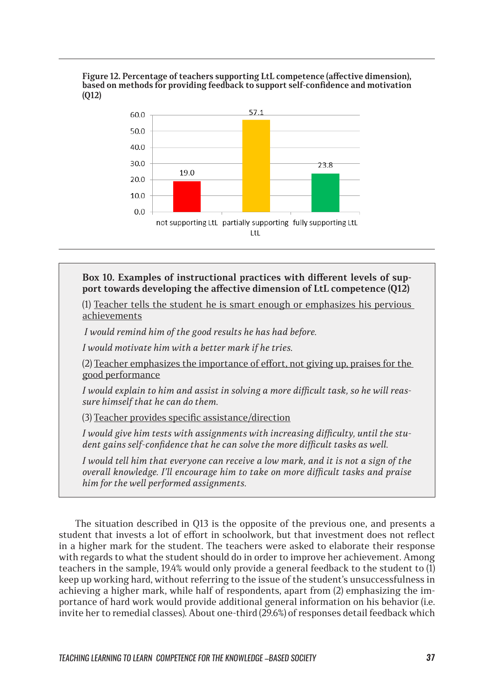#### **Figure 12. Percentage of teachers supporting LtL competence (affective dimension), based on methods for providing feedback to support self-confidence and motivation (Q12)**



#### **Box 10. Examples of instructional practices with different levels of support towards developing the affective dimension of LtL competence (Q12)**

(1) Teacher tells the student he is smart enough or emphasizes his pervious achievements

 *I would remind him of the good results he has had before.*

*I would motivate him with a better mark if he tries.*

(2) Teacher emphasizes the importance of effort, not giving up, praises for the good performance

*I would explain to him and assist in solving a more difficult task, so he will reassure himself that he can do them.*

(3) Teacher provides specific assistance/direction

*I would give him tests with assignments with increasing difficulty, until the student gains self-confidence that he can solve the more difficult tasks as well.*

*I would tell him that everyone can receive a low mark, and it is not a sign of the overall knowledge. I'll encourage him to take on more difficult tasks and praise him for the well performed assignments.*

The situation described in Q13 is the opposite of the previous one, and presents a student that invests a lot of effort in schoolwork, but that investment does not reflect in a higher mark for the student. The teachers were asked to elaborate their response with regards to what the student should do in order to improve her achievement. Among teachers in the sample, 19.4% would only provide a general feedback to the student to (1) keep up working hard, without referring to the issue of the student's unsuccessfulness in achieving a higher mark, while half of respondents, apart from (2) emphasizing the importance of hard work would provide additional general information on his behavior (i.e. invite her to remedial classes). About one-third (29.6%) of responses detail feedback which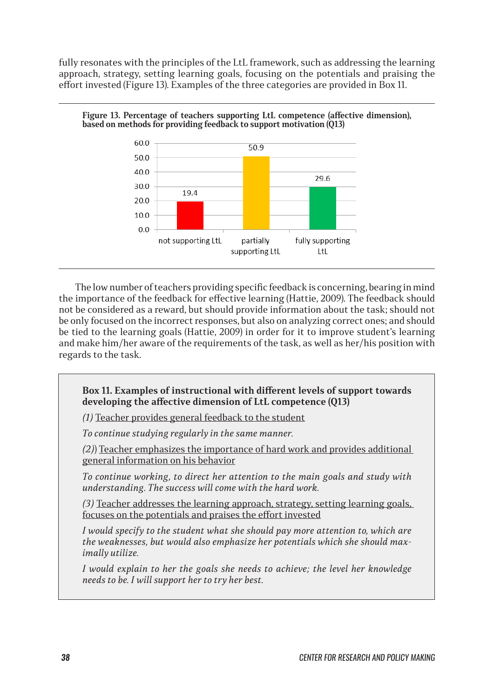fully resonates with the principles of the LtL framework, such as addressing the learning approach, strategy, setting learning goals, focusing on the potentials and praising the effort invested (Figure 13). Examples of the three categories are provided in Box 11.



**Figure 13. Percentage of teachers supporting LtL competence (affective dimension), based on methods for providing feedback to support motivation (Q13)**

The low number of teachers providing specific feedback is concerning, bearing in mind the importance of the feedback for effective learning (Hattie, 2009). The feedback should not be considered as a reward, but should provide information about the task; should not be only focused on the incorrect responses, but also on analyzing correct ones; and should be tied to the learning goals (Hattie, 2009) in order for it to improve student's learning and make him/her aware of the requirements of the task, as well as her/his position with regards to the task.

**Box 11. Examples of instructional with different levels of support towards developing the affective dimension of LtL competence (Q13)**

*(1)* Teacher provides general feedback to the student

*To continue studying regularly in the same manner.* 

*(2)*) Teacher emphasizes the importance of hard work and provides additional general information on his behavior

*To continue working, to direct her attention to the main goals and study with understanding. The success will come with the hard work.*

*(3)* Teacher addresses the learning approach, strategy, setting learning goals, focuses on the potentials and praises the effort invested

*I would specify to the student what she should pay more attention to, which are the weaknesses, but would also emphasize her potentials which she should maximally utilize.* 

*I would explain to her the goals she needs to achieve; the level her knowledge needs to be. I will support her to try her best.*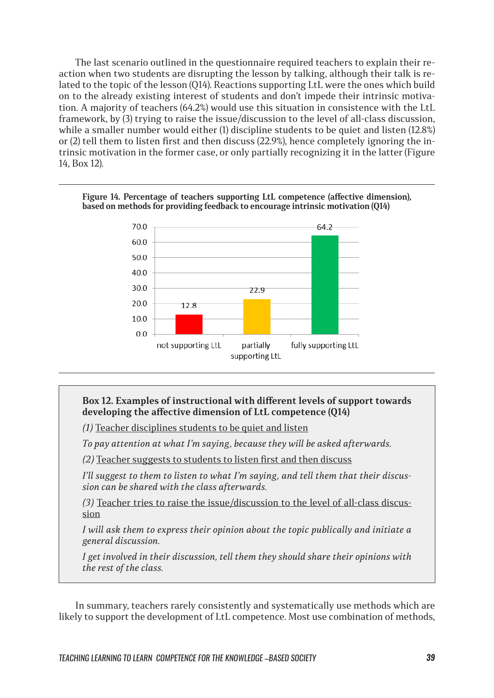The last scenario outlined in the questionnaire required teachers to explain their reaction when two students are disrupting the lesson by talking, although their talk is related to the topic of the lesson (Q14). Reactions supporting LtL were the ones which build on to the already existing interest of students and don't impede their intrinsic motivation. A majority of teachers (64.2%) would use this situation in consistence with the LtL framework, by (3) trying to raise the issue/discussion to the level of all-class discussion, while a smaller number would either (1) discipline students to be quiet and listen (12.8%) or (2) tell them to listen first and then discuss (22.9%), hence completely ignoring the intrinsic motivation in the former case, or only partially recognizing it in the latter (Figure 14, Box 12).



#### **Figure 14. Percentage of teachers supporting LtL competence (affective dimension), based on methods for providing feedback to encourage intrinsic motivation (Q14)**

#### **Box 12. Examples of instructional with different levels of support towards developing the affective dimension of LtL competence (Q14)**

*(1)* Teacher disciplines students to be quiet and listen

*To pay attention at what I'm saying, because they will be asked afterwards.*

*(2)* Teacher suggests to students to listen first and then discuss

*I'll suggest to them to listen to what I'm saying, and tell them that their discussion can be shared with the class afterwards.*

*(3)* Teacher tries to raise the issue/discussion to the level of all-class discussion

*I will ask them to express their opinion about the topic publically and initiate a general discussion.*

*I get involved in their discussion, tell them they should share their opinions with the rest of the class.*

In summary, teachers rarely consistently and systematically use methods which are likely to support the development of LtL competence. Most use combination of methods,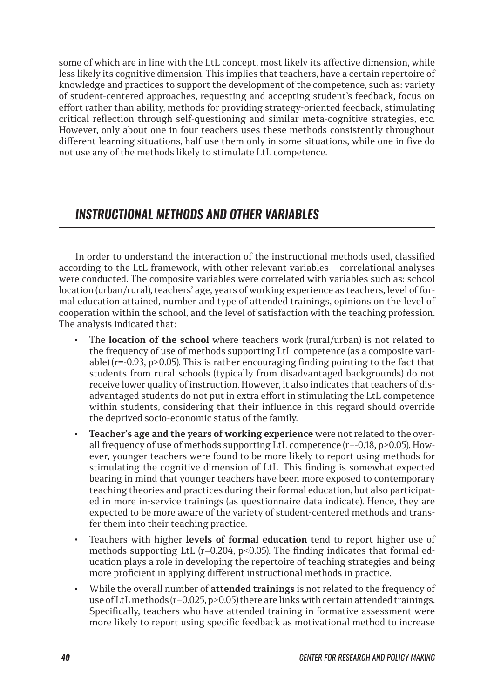some of which are in line with the LtL concept, most likely its affective dimension, while less likely its cognitive dimension. This implies that teachers, have a certain repertoire of knowledge and practices to support the development of the competence, such as: variety of student-centered approaches, requesting and accepting student's feedback, focus on effort rather than ability, methods for providing strategy-oriented feedback, stimulating critical reflection through self-questioning and similar meta-cognitive strategies, etc. However, only about one in four teachers uses these methods consistently throughout different learning situations, half use them only in some situations, while one in five do not use any of the methods likely to stimulate LtL competence.

## *INSTRUCTIONAL METHODS AND OTHER VARIABLES*

In order to understand the interaction of the instructional methods used, classified according to the LtL framework, with other relevant variables – correlational analyses were conducted. The composite variables were correlated with variables such as: school location (urban/rural), teachers' age, years of working experience as teachers, level of formal education attained, number and type of attended trainings, opinions on the level of cooperation within the school, and the level of satisfaction with the teaching profession. The analysis indicated that:

- The **location of the school** where teachers work (rural/urban) is not related to the frequency of use of methods supporting LtL competence (as a composite variable) (r=-0.93, p>0.05). This is rather encouraging finding pointing to the fact that students from rural schools (typically from disadvantaged backgrounds) do not receive lower quality of instruction. However, it also indicates that teachers of disadvantaged students do not put in extra effort in stimulating the LtL competence within students, considering that their influence in this regard should override the deprived socio-economic status of the family.
- **Teacher's age and the years of working experience** were not related to the overall frequency of use of methods supporting LtL competence (r=-0.18, p>0.05). However, younger teachers were found to be more likely to report using methods for stimulating the cognitive dimension of LtL. This finding is somewhat expected bearing in mind that younger teachers have been more exposed to contemporary teaching theories and practices during their formal education, but also participated in more in-service trainings (as questionnaire data indicate). Hence, they are expected to be more aware of the variety of student-centered methods and transfer them into their teaching practice.
- Teachers with higher **levels of formal education** tend to report higher use of methods supporting LtL ( $r=0.204$ ,  $p<0.05$ ). The finding indicates that formal education plays a role in developing the repertoire of teaching strategies and being more proficient in applying different instructional methods in practice.
- While the overall number of **attended trainings** is not related to the frequency of use of LtL methods (r=0.025, p>0.05) there are links with certain attended trainings. Specifically, teachers who have attended training in formative assessment were more likely to report using specific feedback as motivational method to increase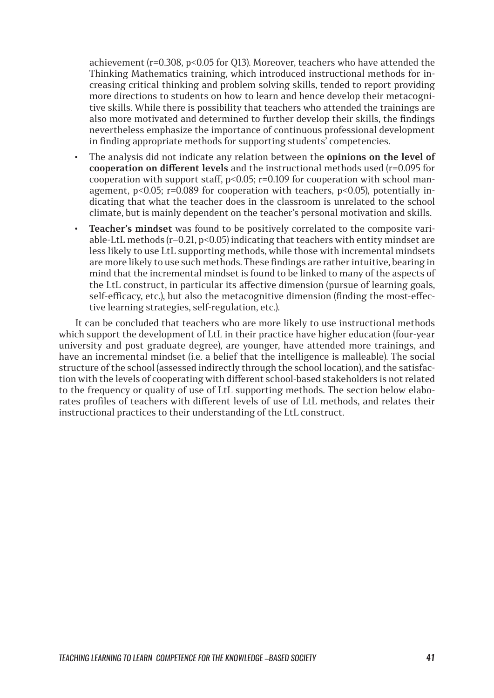achievement (r=0.308, p<0.05 for Q13). Moreover, teachers who have attended the Thinking Mathematics training, which introduced instructional methods for increasing critical thinking and problem solving skills, tended to report providing more directions to students on how to learn and hence develop their metacognitive skills. While there is possibility that teachers who attended the trainings are also more motivated and determined to further develop their skills, the findings nevertheless emphasize the importance of continuous professional development in finding appropriate methods for supporting students' competencies.

- The analysis did not indicate any relation between the **opinions on the level of cooperation on different levels** and the instructional methods used (r=0.095 for cooperation with support staff,  $p$ <0.05;  $r$ =0.109 for cooperation with school management,  $p<0.05$ ;  $r=0.089$  for cooperation with teachers,  $p<0.05$ ), potentially indicating that what the teacher does in the classroom is unrelated to the school climate, but is mainly dependent on the teacher's personal motivation and skills.
- **Teacher's mindset** was found to be positively correlated to the composite variable-LtL methods ( $r=0.21$ ,  $p<0.05$ ) indicating that teachers with entity mindset are less likely to use LtL supporting methods, while those with incremental mindsets are more likely to use such methods. These findings are rather intuitive, bearing in mind that the incremental mindset is found to be linked to many of the aspects of the LtL construct, in particular its affective dimension (pursue of learning goals, self-efficacy, etc.), but also the metacognitive dimension (finding the most-effective learning strategies, self-regulation, etc.).

It can be concluded that teachers who are more likely to use instructional methods which support the development of LtL in their practice have higher education (four-year university and post graduate degree), are younger, have attended more trainings, and have an incremental mindset (i.e. a belief that the intelligence is malleable). The social structure of the school (assessed indirectly through the school location), and the satisfaction with the levels of cooperating with different school-based stakeholders is not related to the frequency or quality of use of LtL supporting methods. The section below elaborates profiles of teachers with different levels of use of LtL methods, and relates their instructional practices to their understanding of the LtL construct.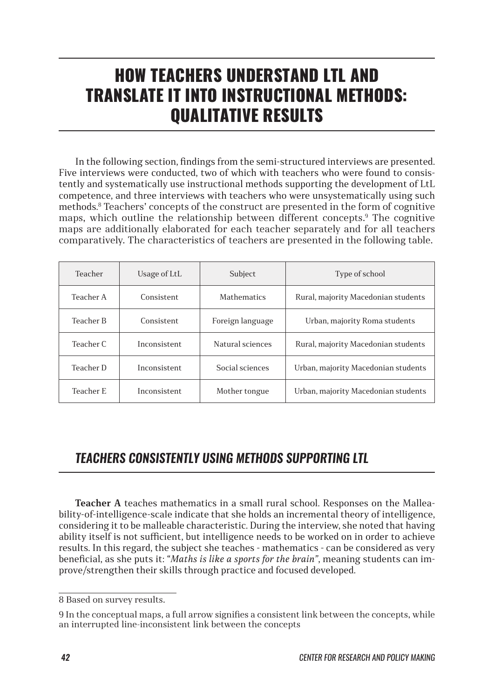# HOW TEACHERS UNDERSTAND LTL AND TRANSLATE IT INTO INSTRUCTIONAL METHODS: QUALITATIVE RESULTS

In the following section, findings from the semi-structured interviews are presented. Five interviews were conducted, two of which with teachers who were found to consistently and systematically use instructional methods supporting the development of LtL competence, and three interviews with teachers who were unsystematically using such methods.<sup>8</sup> Teachers' concepts of the construct are presented in the form of cognitive maps, which outline the relationship between different concepts.9 The cognitive maps are additionally elaborated for each teacher separately and for all teachers comparatively. The characteristics of teachers are presented in the following table.

| Teacher          | Usage of LtL | Subject            | Type of school                      |
|------------------|--------------|--------------------|-------------------------------------|
| Teacher A        | Consistent   | <b>Mathematics</b> | Rural, majority Macedonian students |
| <b>Teacher B</b> | Consistent   | Foreign language   | Urban, majority Roma students       |
| Teacher C        | Inconsistent | Natural sciences   | Rural, majority Macedonian students |
| Teacher D        | Inconsistent | Social sciences    | Urban, majority Macedonian students |
| Teacher E        | Inconsistent | Mother tongue      | Urban, majority Macedonian students |

## *TEACHERS CONSISTENTLY USING METHODS SUPPORTING LTL*

**Teacher A** teaches mathematics in a small rural school. Responses on the Malleability-of-intelligence-scale indicate that she holds an incremental theory of intelligence, considering it to be malleable characteristic. During the interview, she noted that having ability itself is not sufficient, but intelligence needs to be worked on in order to achieve results. In this regard, the subject she teaches - mathematics - can be considered as very beneficial, as she puts it: "*Maths is like a sports for the brain"*, meaning students can improve/strengthen their skills through practice and focused developed.

<sup>8</sup> Based on survey results.

<sup>9</sup> In the conceptual maps, a full arrow signifies a consistent link between the concepts, while an interrupted line-inconsistent link between the concepts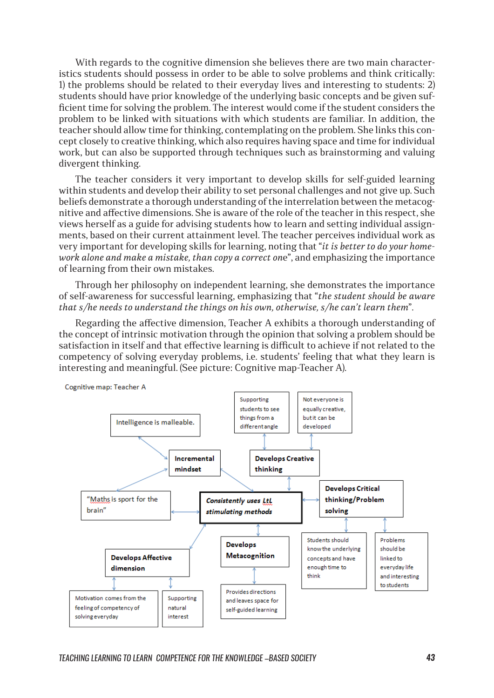With regards to the cognitive dimension she believes there are two main characteristics students should possess in order to be able to solve problems and think critically: 1) the problems should be related to their everyday lives and interesting to students: 2) students should have prior knowledge of the underlying basic concepts and be given sufficient time for solving the problem. The interest would come if the student considers the problem to be linked with situations with which students are familiar. In addition, the teacher should allow time for thinking, contemplating on the problem. She links this concept closely to creative thinking, which also requires having space and time for individual work, but can also be supported through techniques such as brainstorming and valuing divergent thinking.

The teacher considers it very important to develop skills for self-guided learning within students and develop their ability to set personal challenges and not give up. Such beliefs demonstrate a thorough understanding of the interrelation between the metacognitive and affective dimensions. She is aware of the role of the teacher in this respect, she views herself as a guide for advising students how to learn and setting individual assignments, based on their current attainment level. The teacher perceives individual work as very important for developing skills for learning, noting that "*it is better to do your homework alone and make a mistake, than copy a correct on*e", and emphasizing the importance of learning from their own mistakes.

Through her philosophy on independent learning, she demonstrates the importance of self-awareness for successful learning, emphasizing that "*the student should be aware that s/he needs to understand the things on his own, otherwise, s/he can't learn them*".

Regarding the affective dimension, Teacher A exhibits a thorough understanding of the concept of intrinsic motivation through the opinion that solving a problem should be satisfaction in itself and that effective learning is difficult to achieve if not related to the competency of solving everyday problems, i.e. students' feeling that what they learn is interesting and meaningful. (See picture: Cognitive map-Teacher A).

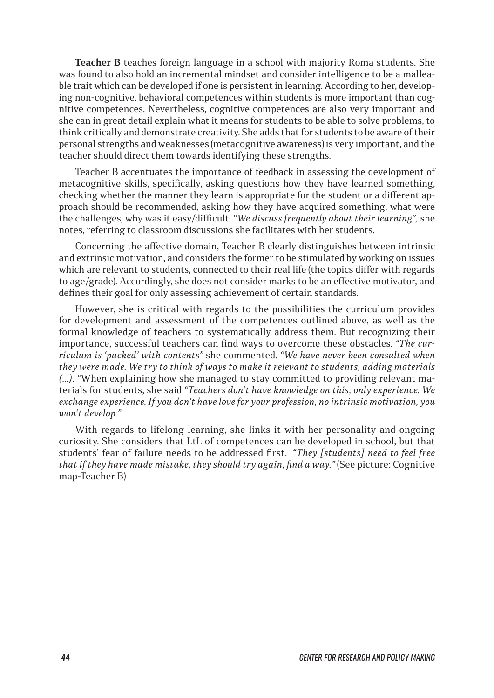**Teacher B** teaches foreign language in a school with majority Roma students. She was found to also hold an incremental mindset and consider intelligence to be a malleable trait which can be developed if one is persistent in learning. According to her, developing non-cognitive, behavioral competences within students is more important than cognitive competences. Nevertheless, cognitive competences are also very important and she can in great detail explain what it means for students to be able to solve problems, to think critically and demonstrate creativity. She adds that for students to be aware of their personal strengths and weaknesses (metacognitive awareness) is very important, and the teacher should direct them towards identifying these strengths.

Teacher B accentuates the importance of feedback in assessing the development of metacognitive skills, specifically, asking questions how they have learned something, checking whether the manner they learn is appropriate for the student or a different approach should be recommended, asking how they have acquired something, what were the challenges, why was it easy/difficult. *"We discuss frequently about their learning",* she notes, referring to classroom discussions she facilitates with her students.

Concerning the affective domain, Teacher B clearly distinguishes between intrinsic and extrinsic motivation, and considers the former to be stimulated by working on issues which are relevant to students, connected to their real life (the topics differ with regards to age/grade). Accordingly, she does not consider marks to be an effective motivator, and defines their goal for only assessing achievement of certain standards.

However, she is critical with regards to the possibilities the curriculum provides for development and assessment of the competences outlined above, as well as the formal knowledge of teachers to systematically address them. But recognizing their importance, successful teachers can find ways to overcome these obstacles. *"The curriculum is 'packed' with contents"* she commented*. "We have never been consulted when they were made. We try to think of ways to make it relevant to students, adding materials (…). "*When explaining how she managed to stay committed to providing relevant materials for students, she said *"Teachers don't have knowledge on this, only experience. We exchange experience. If you don't have love for your profession, no intrinsic motivation, you won't develop."*

With regards to lifelong learning, she links it with her personality and ongoing curiosity. She considers that LtL of competences can be developed in school, but that students' fear of failure needs to be addressed first. "*They [students] need to feel free that if they have made mistake, they should try again, find a way."* (See picture: Cognitive map-Teacher B)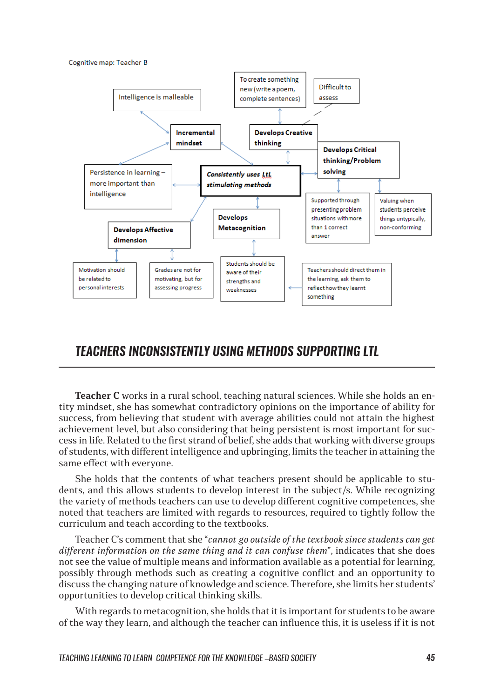Cognitive map: Teacher B



### *TEACHERS INCONSISTENTLY USING METHODS SUPPORTING LTL*

**Teacher C** works in a rural school, teaching natural sciences. While she holds an entity mindset, she has somewhat contradictory opinions on the importance of ability for success, from believing that student with average abilities could not attain the highest achievement level, but also considering that being persistent is most important for success in life. Related to the first strand of belief, she adds that working with diverse groups of students, with different intelligence and upbringing, limits the teacher in attaining the same effect with everyone.

She holds that the contents of what teachers present should be applicable to students, and this allows students to develop interest in the subject/s. While recognizing the variety of methods teachers can use to develop different cognitive competences, she noted that teachers are limited with regards to resources, required to tightly follow the curriculum and teach according to the textbooks.

Teacher C's comment that she "*cannot go outside of the textbook since students can get different information on the same thing and it can confuse them*", indicates that she does not see the value of multiple means and information available as a potential for learning, possibly through methods such as creating a cognitive conflict and an opportunity to discuss the changing nature of knowledge and science. Therefore, she limits her students' opportunities to develop critical thinking skills.

With regards to metacognition, she holds that it is important for students to be aware of the way they learn, and although the teacher can influence this, it is useless if it is not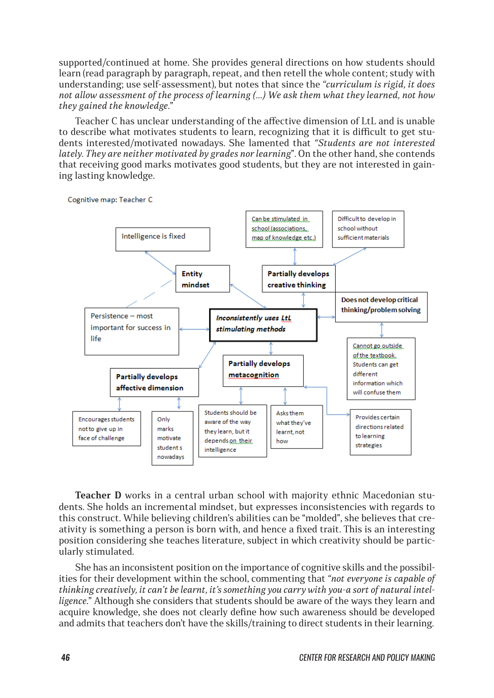supported/continued at home. She provides general directions on how students should learn (read paragraph by paragraph, repeat, and then retell the whole content; study with understanding; use self-assessment), but notes that since the *"curriculum is rigid, it does not allow assessment of the process of learning (…) We ask them what they learned, not how they gained the knowledge*."

Teacher C has unclear understanding of the affective dimension of LtL and is unable to describe what motivates students to learn, recognizing that it is difficult to get students interested/motivated nowadays. She lamented that *"Students are not interested lately. They are neither motivated by grades nor learning*". On the other hand, she contends that receiving good marks motivates good students, but they are not interested in gaining lasting knowledge.



**Teacher D** works in a central urban school with majority ethnic Macedonian students. She holds an incremental mindset, but expresses inconsistencies with regards to this construct. While believing children's abilities can be "molded", she believes that creativity is something a person is born with, and hence a fixed trait. This is an interesting position considering she teaches literature, subject in which creativity should be particularly stimulated.

She has an inconsistent position on the importance of cognitive skills and the possibilities for their development within the school, commenting that *"not everyone is capable of thinking creatively, it can't be learnt, it's something you carry with you-a sort of natural intelligence*." Although she considers that students should be aware of the ways they learn and acquire knowledge, she does not clearly define how such awareness should be developed and admits that teachers don't have the skills/training to direct students in their learning.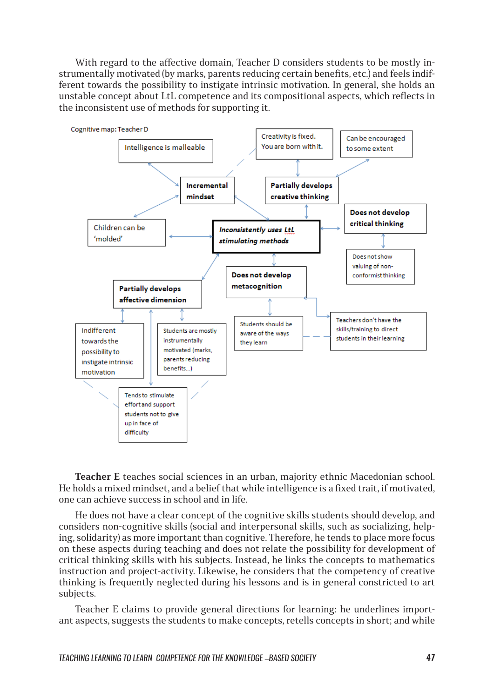With regard to the affective domain, Teacher D considers students to be mostly instrumentally motivated (by marks, parents reducing certain benefits, etc.) and feels indifferent towards the possibility to instigate intrinsic motivation. In general, she holds an unstable concept about LtL competence and its compositional aspects, which reflects in the inconsistent use of methods for supporting it.



**Teacher E** teaches social sciences in an urban, majority ethnic Macedonian school. He holds a mixed mindset, and a belief that while intelligence is a fixed trait, if motivated, one can achieve success in school and in life.

He does not have a clear concept of the cognitive skills students should develop, and considers non-cognitive skills (social and interpersonal skills, such as socializing, helping, solidarity) as more important than cognitive. Therefore, he tends to place more focus on these aspects during teaching and does not relate the possibility for development of critical thinking skills with his subjects. Instead, he links the concepts to mathematics instruction and project-activity. Likewise, he considers that the competency of creative thinking is frequently neglected during his lessons and is in general constricted to art subjects.

Teacher E claims to provide general directions for learning: he underlines important aspects, suggests the students to make concepts, retells concepts in short; and while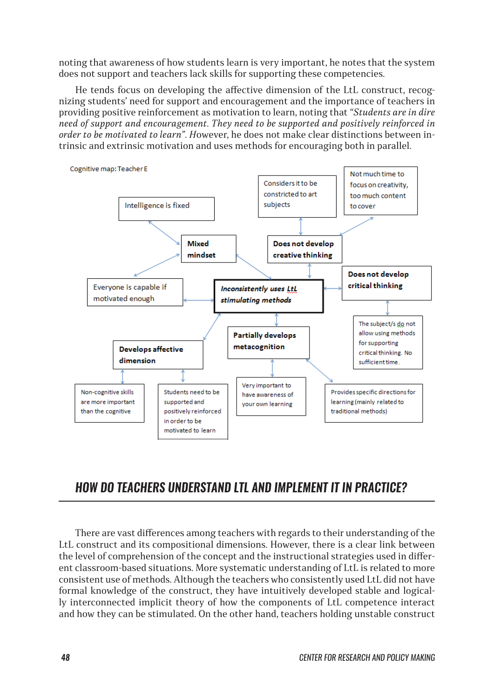noting that awareness of how students learn is very important, he notes that the system does not support and teachers lack skills for supporting these competencies.

He tends focus on developing the affective dimension of the LtL construct, recognizing students' need for support and encouragement and the importance of teachers in providing positive reinforcement as motivation to learn, noting that *"Students are in dire need of support and encouragement. They need to be supported and positively reinforced in order to be motivated to learn". H*owever, he does not make clear distinctions between intrinsic and extrinsic motivation and uses methods for encouraging both in parallel.



### *HOW DO TEACHERS UNDERSTAND LTL AND IMPLEMENT IT IN PRACTICE?*

There are vast differences among teachers with regards to their understanding of the LtL construct and its compositional dimensions. However, there is a clear link between the level of comprehension of the concept and the instructional strategies used in different classroom-based situations. More systematic understanding of LtL is related to more consistent use of methods. Although the teachers who consistently used LtL did not have formal knowledge of the construct, they have intuitively developed stable and logically interconnected implicit theory of how the components of LtL competence interact and how they can be stimulated. On the other hand, teachers holding unstable construct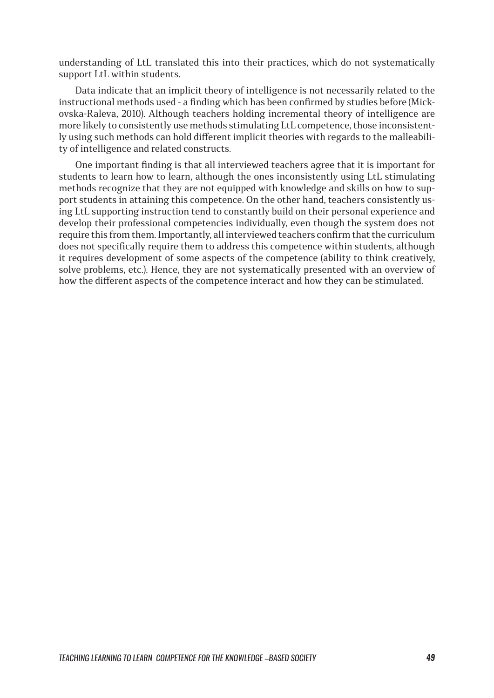understanding of LtL translated this into their practices, which do not systematically support LtL within students.

Data indicate that an implicit theory of intelligence is not necessarily related to the instructional methods used - a finding which has been confirmed by studies before (Mickovska-Raleva, 2010). Although teachers holding incremental theory of intelligence are more likely to consistently use methods stimulating LtL competence, those inconsistently using such methods can hold different implicit theories with regards to the malleability of intelligence and related constructs.

One important finding is that all interviewed teachers agree that it is important for students to learn how to learn, although the ones inconsistently using LtL stimulating methods recognize that they are not equipped with knowledge and skills on how to support students in attaining this competence. On the other hand, teachers consistently using LtL supporting instruction tend to constantly build on their personal experience and develop their professional competencies individually, even though the system does not require this from them. Importantly, all interviewed teachers confirm that the curriculum does not specifically require them to address this competence within students, although it requires development of some aspects of the competence (ability to think creatively, solve problems, etc.). Hence, they are not systematically presented with an overview of how the different aspects of the competence interact and how they can be stimulated.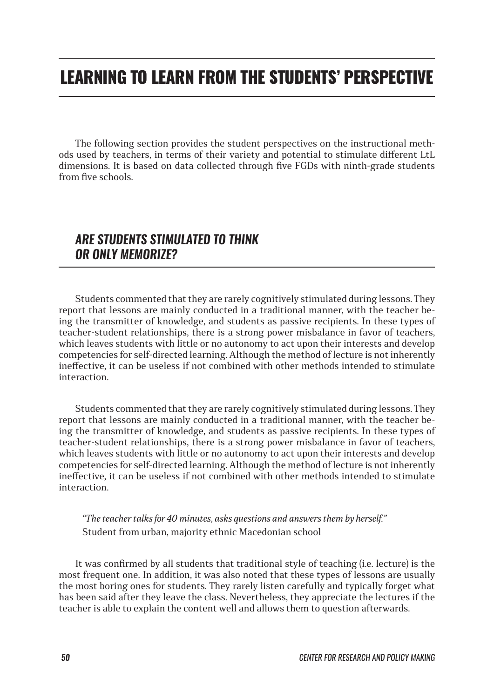# LEARNING TO LEARN FROM THE STUDENTS' PERSPECTIVE

The following section provides the student perspectives on the instructional methods used by teachers, in terms of their variety and potential to stimulate different LtL dimensions. It is based on data collected through five FGDs with ninth-grade students from five schools.

#### *ARE STUDENTS STIMULATED TO THINK OR ONLY MEMORIZE?*

Students commented that they are rarely cognitively stimulated during lessons. They report that lessons are mainly conducted in a traditional manner, with the teacher being the transmitter of knowledge, and students as passive recipients. In these types of teacher-student relationships, there is a strong power misbalance in favor of teachers, which leaves students with little or no autonomy to act upon their interests and develop competencies for self-directed learning. Although the method of lecture is not inherently ineffective, it can be useless if not combined with other methods intended to stimulate interaction.

Students commented that they are rarely cognitively stimulated during lessons. They report that lessons are mainly conducted in a traditional manner, with the teacher being the transmitter of knowledge, and students as passive recipients. In these types of teacher-student relationships, there is a strong power misbalance in favor of teachers, which leaves students with little or no autonomy to act upon their interests and develop competencies for self-directed learning. Although the method of lecture is not inherently ineffective, it can be useless if not combined with other methods intended to stimulate interaction.

*"The teacher talks for 40 minutes, asks questions and answers them by herself."*  Student from urban, majority ethnic Macedonian school

It was confirmed by all students that traditional style of teaching (i.e. lecture) is the most frequent one. In addition, it was also noted that these types of lessons are usually the most boring ones for students. They rarely listen carefully and typically forget what has been said after they leave the class. Nevertheless, they appreciate the lectures if the teacher is able to explain the content well and allows them to question afterwards.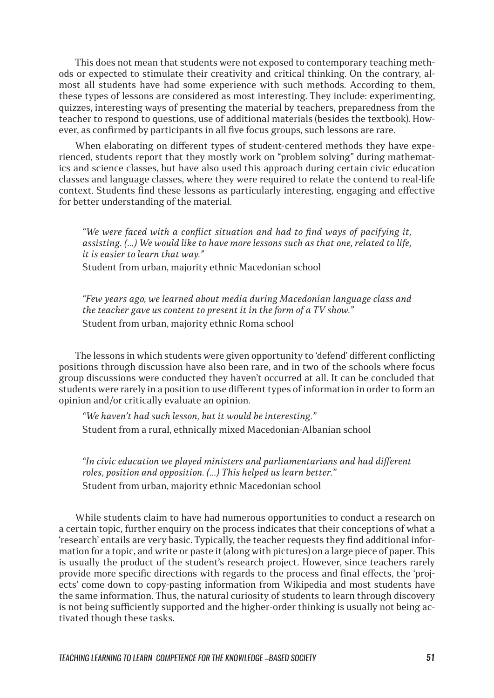This does not mean that students were not exposed to contemporary teaching methods or expected to stimulate their creativity and critical thinking. On the contrary, almost all students have had some experience with such methods. According to them, these types of lessons are considered as most interesting. They include: experimenting, quizzes, interesting ways of presenting the material by teachers, preparedness from the teacher to respond to questions, use of additional materials (besides the textbook). However, as confirmed by participants in all five focus groups, such lessons are rare.

When elaborating on different types of student-centered methods they have experienced, students report that they mostly work on "problem solving" during mathematics and science classes, but have also used this approach during certain civic education classes and language classes, where they were required to relate the contend to real-life context. Students find these lessons as particularly interesting, engaging and effective for better understanding of the material.

*"We were faced with a conflict situation and had to find ways of pacifying it, assisting. (…) We would like to have more lessons such as that one, related to life, it is easier to learn that way."*

Student from urban, majority ethnic Macedonian school

*"Few years ago, we learned about media during Macedonian language class and the teacher gave us content to present it in the form of a TV show."* Student from urban, majority ethnic Roma school

The lessons in which students were given opportunity to 'defend' different conflicting positions through discussion have also been rare, and in two of the schools where focus group discussions were conducted they haven't occurred at all. It can be concluded that students were rarely in a position to use different types of information in order to form an opinion and/or critically evaluate an opinion.

*"We haven't had such lesson, but it would be interesting."*  Student from a rural, ethnically mixed Macedonian-Albanian school

*"In civic education we played ministers and parliamentarians and had different roles, position and opposition. (…) This helped us learn better."* Student from urban, majority ethnic Macedonian school

While students claim to have had numerous opportunities to conduct a research on a certain topic, further enquiry on the process indicates that their conceptions of what a 'research' entails are very basic. Typically, the teacher requests they find additional information for a topic, and write or paste it (along with pictures) on a large piece of paper. This is usually the product of the student's research project. However, since teachers rarely provide more specific directions with regards to the process and final effects, the 'projects' come down to copy-pasting information from Wikipedia and most students have the same information. Thus, the natural curiosity of students to learn through discovery is not being sufficiently supported and the higher-order thinking is usually not being activated though these tasks.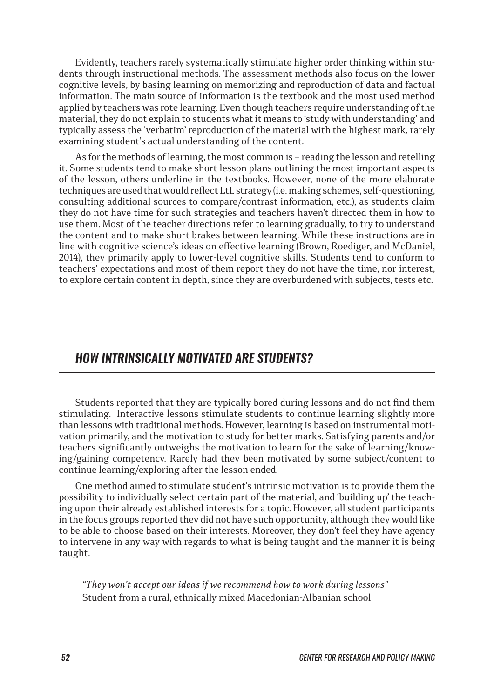Evidently, teachers rarely systematically stimulate higher order thinking within students through instructional methods. The assessment methods also focus on the lower cognitive levels, by basing learning on memorizing and reproduction of data and factual information. The main source of information is the textbook and the most used method applied by teachers was rote learning. Even though teachers require understanding of the material, they do not explain to students what it means to 'study with understanding' and typically assess the 'verbatim' reproduction of the material with the highest mark, rarely examining student's actual understanding of the content.

As for the methods of learning, the most common is – reading the lesson and retelling it. Some students tend to make short lesson plans outlining the most important aspects of the lesson, others underline in the textbooks. However, none of the more elaborate techniques are used that would reflect LtL strategy (i.e. making schemes, self-questioning, consulting additional sources to compare/contrast information, etc.), as students claim they do not have time for such strategies and teachers haven't directed them in how to use them. Most of the teacher directions refer to learning gradually, to try to understand the content and to make short brakes between learning. While these instructions are in line with cognitive science's ideas on effective learning (Brown, Roediger, and McDaniel, 2014), they primarily apply to lower-level cognitive skills. Students tend to conform to teachers' expectations and most of them report they do not have the time, nor interest, to explore certain content in depth, since they are overburdened with subjects, tests etc.

#### *HOW INTRINSICALLY MOTIVATED ARE STUDENTS?*

Students reported that they are typically bored during lessons and do not find them stimulating. Interactive lessons stimulate students to continue learning slightly more than lessons with traditional methods. However, learning is based on instrumental motivation primarily, and the motivation to study for better marks. Satisfying parents and/or teachers significantly outweighs the motivation to learn for the sake of learning/knowing/gaining competency. Rarely had they been motivated by some subject/content to continue learning/exploring after the lesson ended.

One method aimed to stimulate student's intrinsic motivation is to provide them the possibility to individually select certain part of the material, and 'building up' the teaching upon their already established interests for a topic. However, all student participants in the focus groups reported they did not have such opportunity, although they would like to be able to choose based on their interests. Moreover, they don't feel they have agency to intervene in any way with regards to what is being taught and the manner it is being taught.

*"They won't accept our ideas if we recommend how to work during lessons"* Student from a rural, ethnically mixed Macedonian-Albanian school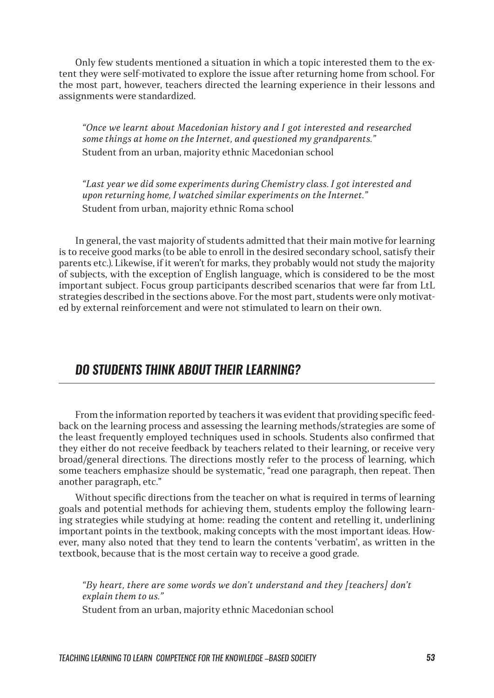Only few students mentioned a situation in which a topic interested them to the extent they were self-motivated to explore the issue after returning home from school. For the most part, however, teachers directed the learning experience in their lessons and assignments were standardized.

*"Once we learnt about Macedonian history and I got interested and researched some things at home on the Internet, and questioned my grandparents."* Student from an urban, majority ethnic Macedonian school

*"Last year we did some experiments during Chemistry class. I got interested and upon returning home, I watched similar experiments on the Internet."* Student from urban, majority ethnic Roma school

In general, the vast majority of students admitted that their main motive for learning is to receive good marks (to be able to enroll in the desired secondary school, satisfy their parents etc.). Likewise, if it weren't for marks, they probably would not study the majority of subjects, with the exception of English language, which is considered to be the most important subject. Focus group participants described scenarios that were far from LtL strategies described in the sections above. For the most part, students were only motivated by external reinforcement and were not stimulated to learn on their own.

#### *DO STUDENTS THINK ABOUT THEIR LEARNING?*

From the information reported by teachers it was evident that providing specific feedback on the learning process and assessing the learning methods/strategies are some of the least frequently employed techniques used in schools. Students also confirmed that they either do not receive feedback by teachers related to their learning, or receive very broad/general directions. The directions mostly refer to the process of learning, which some teachers emphasize should be systematic, "read one paragraph, then repeat. Then another paragraph, etc."

Without specific directions from the teacher on what is required in terms of learning goals and potential methods for achieving them, students employ the following learning strategies while studying at home: reading the content and retelling it, underlining important points in the textbook, making concepts with the most important ideas. However, many also noted that they tend to learn the contents 'verbatim', as written in the textbook, because that is the most certain way to receive a good grade.

*"By heart, there are some words we don't understand and they [teachers] don't explain them to us."*

Student from an urban, majority ethnic Macedonian school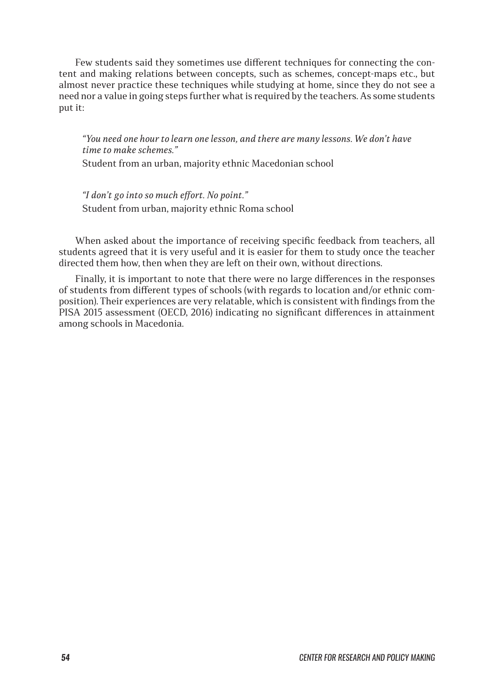Few students said they sometimes use different techniques for connecting the content and making relations between concepts, such as schemes, concept-maps etc., but almost never practice these techniques while studying at home, since they do not see a need nor a value in going steps further what is required by the teachers. As some students put it:

*"You need one hour to learn one lesson, and there are many lessons. We don't have time to make schemes."*

Student from an urban, majority ethnic Macedonian school

*"I don't go into so much effort. No point."* Student from urban, majority ethnic Roma school

When asked about the importance of receiving specific feedback from teachers, all students agreed that it is very useful and it is easier for them to study once the teacher directed them how, then when they are left on their own, without directions.

Finally, it is important to note that there were no large differences in the responses of students from different types of schools (with regards to location and/or ethnic composition). Their experiences are very relatable, which is consistent with findings from the PISA 2015 assessment (OECD, 2016) indicating no significant differences in attainment among schools in Macedonia.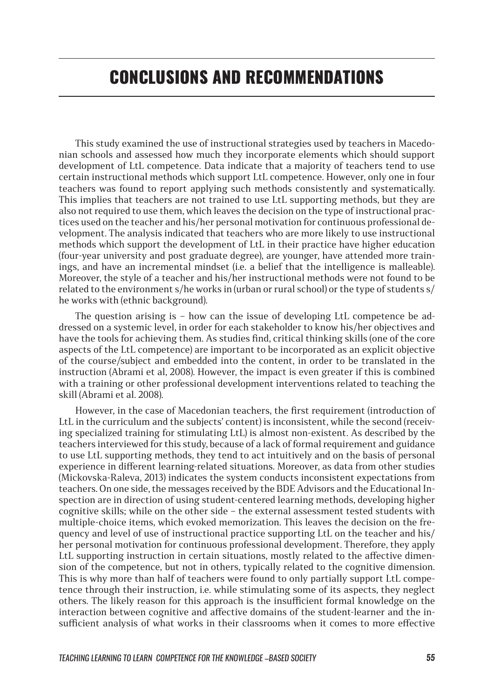# CONCLUSIONS AND RECOMMENDATIONS

This study examined the use of instructional strategies used by teachers in Macedonian schools and assessed how much they incorporate elements which should support development of LtL competence. Data indicate that a majority of teachers tend to use certain instructional methods which support LtL competence. However, only one in four teachers was found to report applying such methods consistently and systematically. This implies that teachers are not trained to use LtL supporting methods, but they are also not required to use them, which leaves the decision on the type of instructional practices used on the teacher and his/her personal motivation for continuous professional development. The analysis indicated that teachers who are more likely to use instructional methods which support the development of LtL in their practice have higher education (four-year university and post graduate degree), are younger, have attended more trainings, and have an incremental mindset (i.e. a belief that the intelligence is malleable). Moreover, the style of a teacher and his/her instructional methods were not found to be related to the environment s/he works in (urban or rural school) or the type of students s/ he works with (ethnic background).

The question arising is – how can the issue of developing LtL competence be addressed on a systemic level, in order for each stakeholder to know his/her objectives and have the tools for achieving them. As studies find, critical thinking skills (one of the core aspects of the LtL competence) are important to be incorporated as an explicit objective of the course/subject and embedded into the content, in order to be translated in the instruction (Abrami et al, 2008). However, the impact is even greater if this is combined with a training or other professional development interventions related to teaching the skill (Abrami et al. 2008).

However, in the case of Macedonian teachers, the first requirement (introduction of LtL in the curriculum and the subjects' content) is inconsistent, while the second (receiving specialized training for stimulating LtL) is almost non-existent. As described by the teachers interviewed for this study, because of a lack of formal requirement and guidance to use LtL supporting methods, they tend to act intuitively and on the basis of personal experience in different learning-related situations. Moreover, as data from other studies (Mickovska-Raleva, 2013) indicates the system conducts inconsistent expectations from teachers. On one side, the messages received by the BDE Advisors and the Educational Inspection are in direction of using student-centered learning methods, developing higher cognitive skills; while on the other side – the external assessment tested students with multiple-choice items, which evoked memorization. This leaves the decision on the frequency and level of use of instructional practice supporting LtL on the teacher and his/ her personal motivation for continuous professional development. Therefore, they apply LtL supporting instruction in certain situations, mostly related to the affective dimension of the competence, but not in others, typically related to the cognitive dimension. This is why more than half of teachers were found to only partially support LtL competence through their instruction, i.e. while stimulating some of its aspects, they neglect others. The likely reason for this approach is the insufficient formal knowledge on the interaction between cognitive and affective domains of the student-learner and the insufficient analysis of what works in their classrooms when it comes to more effective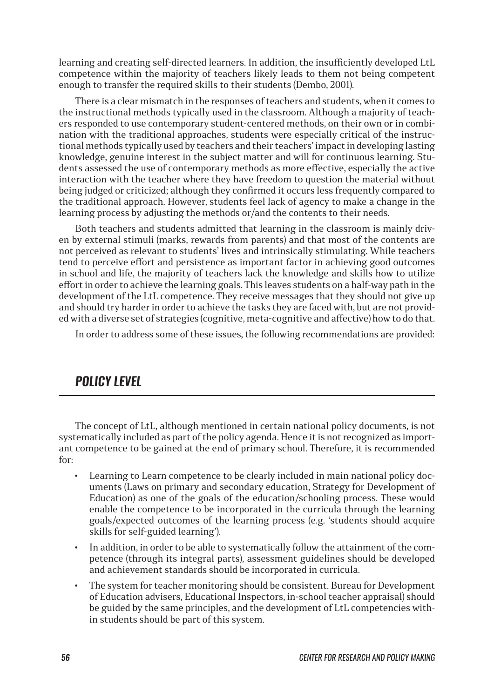learning and creating self-directed learners. In addition, the insufficiently developed LtL competence within the majority of teachers likely leads to them not being competent enough to transfer the required skills to their students (Dembo, 2001).

There is a clear mismatch in the responses of teachers and students, when it comes to the instructional methods typically used in the classroom. Although a majority of teachers responded to use contemporary student-centered methods, on their own or in combination with the traditional approaches, students were especially critical of the instructional methods typically used by teachers and their teachers' impact in developing lasting knowledge, genuine interest in the subject matter and will for continuous learning. Students assessed the use of contemporary methods as more effective, especially the active interaction with the teacher where they have freedom to question the material without being judged or criticized; although they confirmed it occurs less frequently compared to the traditional approach. However, students feel lack of agency to make a change in the learning process by adjusting the methods or/and the contents to their needs.

Both teachers and students admitted that learning in the classroom is mainly driven by external stimuli (marks, rewards from parents) and that most of the contents are not perceived as relevant to students' lives and intrinsically stimulating. While teachers tend to perceive effort and persistence as important factor in achieving good outcomes in school and life, the majority of teachers lack the knowledge and skills how to utilize effort in order to achieve the learning goals. This leaves students on a half-way path in the development of the LtL competence. They receive messages that they should not give up and should try harder in order to achieve the tasks they are faced with, but are not provided with a diverse set of strategies (cognitive, meta-cognitive and affective) how to do that.

In order to address some of these issues, the following recommendations are provided:

### *POLICY LEVEL*

The concept of LtL, although mentioned in certain national policy documents, is not systematically included as part of the policy agenda. Hence it is not recognized as important competence to be gained at the end of primary school. Therefore, it is recommended for:

- Learning to Learn competence to be clearly included in main national policy documents (Laws on primary and secondary education, Strategy for Development of Education) as one of the goals of the education/schooling process. These would enable the competence to be incorporated in the curricula through the learning goals/expected outcomes of the learning process (e.g. 'students should acquire skills for self-guided learning').
- In addition, in order to be able to systematically follow the attainment of the competence (through its integral parts), assessment guidelines should be developed and achievement standards should be incorporated in curricula.
- The system for teacher monitoring should be consistent. Bureau for Development of Education advisers, Educational Inspectors, in-school teacher appraisal) should be guided by the same principles, and the development of LtL competencies within students should be part of this system.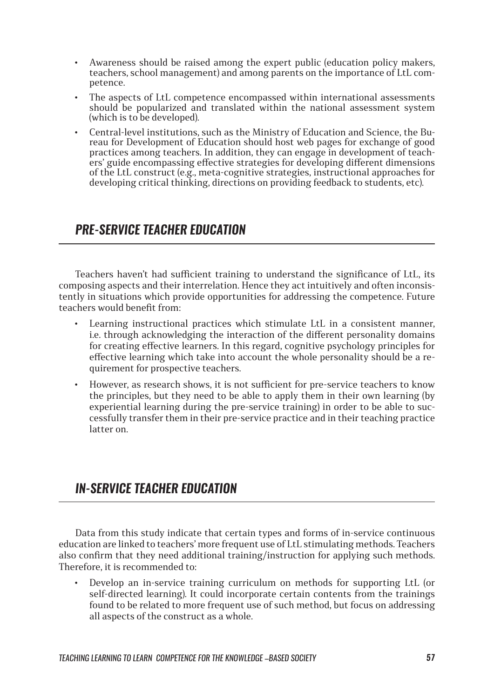- Awareness should be raised among the expert public (education policy makers, teachers, school management) and among parents on the importance of LtL competence.
- The aspects of LtL competence encompassed within international assessments should be popularized and translated within the national assessment system (which is to be developed).
- Central-level institutions, such as the Ministry of Education and Science, the Bureau for Development of Education should host web pages for exchange of good practices among teachers. In addition, they can engage in development of teachers' guide encompassing effective strategies for developing different dimensions of the LtL construct (e.g., meta-cognitive strategies, instructional approaches for developing critical thinking, directions on providing feedback to students, etc).

### *PRE-SERVICE TEACHER EDUCATION*

Teachers haven't had sufficient training to understand the significance of LtL, its composing aspects and their interrelation. Hence they act intuitively and often inconsistently in situations which provide opportunities for addressing the competence. Future teachers would benefit from:

- Learning instructional practices which stimulate LtL in a consistent manner, i.e. through acknowledging the interaction of the different personality domains for creating effective learners. In this regard, cognitive psychology principles for effective learning which take into account the whole personality should be a requirement for prospective teachers.
- However, as research shows, it is not sufficient for pre-service teachers to know the principles, but they need to be able to apply them in their own learning (by experiential learning during the pre-service training) in order to be able to successfully transfer them in their pre-service practice and in their teaching practice latter on.

### *IN-SERVICE TEACHER EDUCATION*

Data from this study indicate that certain types and forms of in-service continuous education are linked to teachers' more frequent use of LtL stimulating methods. Teachers also confirm that they need additional training/instruction for applying such methods. Therefore, it is recommended to:

• Develop an in-service training curriculum on methods for supporting LtL (or self-directed learning). It could incorporate certain contents from the trainings found to be related to more frequent use of such method, but focus on addressing all aspects of the construct as a whole.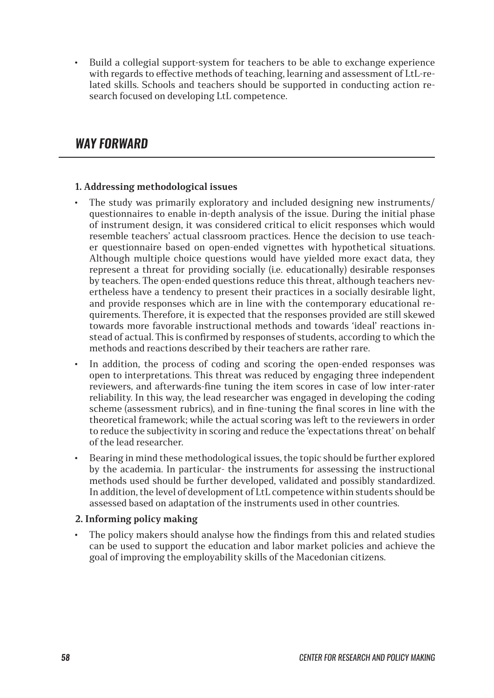• Build a collegial support-system for teachers to be able to exchange experience with regards to effective methods of teaching, learning and assessment of LtL-related skills. Schools and teachers should be supported in conducting action research focused on developing LtL competence.

### *WAY FORWARD*

#### **1. Addressing methodological issues**

- The study was primarily exploratory and included designing new instruments/ questionnaires to enable in-depth analysis of the issue. During the initial phase of instrument design, it was considered critical to elicit responses which would resemble teachers' actual classroom practices. Hence the decision to use teacher questionnaire based on open-ended vignettes with hypothetical situations. Although multiple choice questions would have yielded more exact data, they represent a threat for providing socially (i.e. educationally) desirable responses by teachers. The open-ended questions reduce this threat, although teachers nevertheless have a tendency to present their practices in a socially desirable light, and provide responses which are in line with the contemporary educational requirements. Therefore, it is expected that the responses provided are still skewed towards more favorable instructional methods and towards 'ideal' reactions instead of actual. This is confirmed by responses of students, according to which the methods and reactions described by their teachers are rather rare.
- In addition, the process of coding and scoring the open-ended responses was open to interpretations. This threat was reduced by engaging three independent reviewers, and afterwards-fine tuning the item scores in case of low inter-rater reliability. In this way, the lead researcher was engaged in developing the coding scheme (assessment rubrics), and in fine-tuning the final scores in line with the theoretical framework; while the actual scoring was left to the reviewers in order to reduce the subjectivity in scoring and reduce the 'expectations threat' on behalf of the lead researcher.
- Bearing in mind these methodological issues, the topic should be further explored by the academia. In particular- the instruments for assessing the instructional methods used should be further developed, validated and possibly standardized. In addition, the level of development of LtL competence within students should be assessed based on adaptation of the instruments used in other countries.

#### **2. Informing policy making**

• The policy makers should analyse how the findings from this and related studies can be used to support the education and labor market policies and achieve the goal of improving the employability skills of the Macedonian citizens.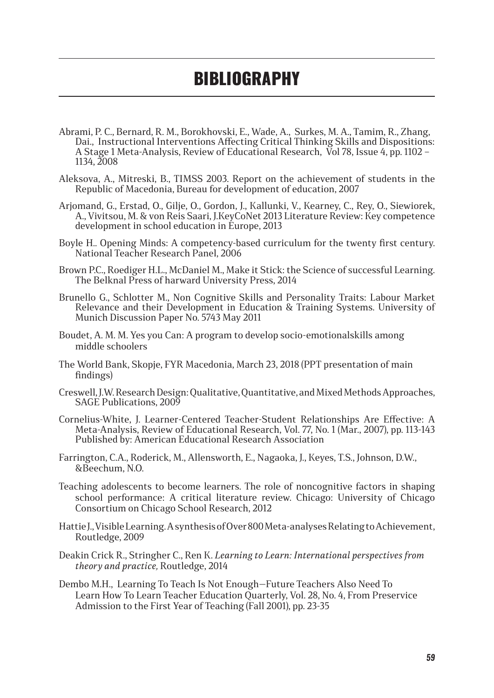# **BIBLIOGRAPHY**

- Abrami, P. C., Bernard, R. M., Borokhovski, E., Wade, A., Surkes, M. A., Tamim, R., Zhang, Dai., Instructional Interventions Affecting Critical Thinking Skills and Dispositions: A Stage 1 Meta-Analysis, Review of Educational Research, Vol 78, Issue 4, pp. 1102 – 1134, 2008
- Aleksova, A., Mitreski, B., TIMSS 2003. Report on the achievement of students in the Republic of Macedonia, Bureau for development of education, 2007
- Arjomand, G., Erstad, O., Gilje, O., Gordon, J., Kallunki, V., Kearney, C., Rey, O., Siewiorek, A., Vivitsou, M. & von Reis Saari, J.KeyCoNet 2013 Literature Review: Key competence development in school education in Europe, 2013
- Boyle H.. Opening Minds: A competency-based curriculum for the twenty first century. National Teacher Research Panel, 2006
- Brown P.C., Roediger H.L., McDaniel M., Make it Stick: the Science of successful Learning. The Belknal Press of harward University Press, 2014
- Brunello G., Schlotter M., Non Cognitive Skills and Personality Traits: Labour Market Relevance and their Development in Education & Training Systems. University of Munich Discussion Paper No. 5743 May 2011
- Boudet, А. М. М. Yes you Can: A program to develop socio-emotionalskills among middle schoolers
- The World Bank, Skopje, FYR Macedonia, March 23, 2018 (PPT presentation of main findings)
- Creswell, J.W. Research Design: Qualitative, Quantitative, and Mixed Methods Approaches, SAGE Publications, 2009
- Cornelius-White, J. Learner-Centered Teacher-Student Relationships Are Effective: A Meta-Analysis, Review of Educational Research, Vol. 77, No. 1 (Mar., 2007), pp. 113-143 Published by: American Educational Research Association
- Farrington, C.A., Roderick, M., Allensworth, E., Nagaoka, J., Keyes, T.S., Johnson, D.W., &Beechum, N.O.
- Teaching adolescents to become learners. The role of noncognitive factors in shaping school performance: A critical literature review. Chicago: University of Chicago Consortium on Chicago School Research, 2012
- Hattie J., Visible Learning. A synthesis of Over 800 Meta-analyses Relating to Achievement, Routledge, 2009
- Deakin Crick R., Stringher C., Ren K. *Learning to Learn: International perspectives from theory and practice,* Routledge, 2014
- Dembo M.H., Learning To Teach Is Not Enough—Future Teachers Also Need To Learn How To Learn Teacher Education Quarterly, Vol. 28, No. 4, From Preservice Admission to the First Year of Teaching (Fall 2001), pp. 23-35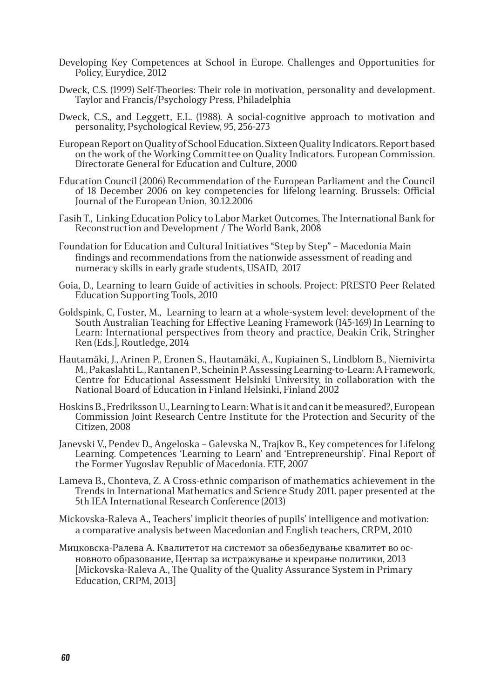- Developing Key Competences at School in Europe. Challenges and Opportunities for Policy, Eurydice, 2012
- Dweck, C.S. (1999) Self-Theories: Their role in motivation, personality and development. Taylor and Francis/Psychology Press, Philadelphia
- Dweck, C.S., and Leggett, E.L. (1988). A social-cognitive approach to motivation and personality, Psychological Review, 95, 256-273
- European Report on Quality of School Education. Sixteen Quality Indicators. Report based on the work of the Working Committee on Quality Indicators. European Commission. Directorate General for Education and Culture, 2000
- Education Council (2006) Recommendation of the European Parliament and the Council of 18 December 2006 on key competencies for lifelong learning. Brussels: Official Journal of the European Union, 30.12.2006
- Fasih T., Linking Education Policy to Labor Market Outcomes, The International Bank for Reconstruction and Development / The World Bank, 2008
- Foundation for Education and Cultural Initiatives "Step by Step" Macedonia Main findings and recommendations from the nationwide assessment of reading and numeracy skills in early grade students, USAID, 2017
- Goia, D., Learning to learn Guide of activities in schools. Project: PRESTO Peer Related Education Supporting Tools, 2010
- Goldspink, C, Foster, M., Learning to learn at a whole-system level: development of the South Australian Teaching for Effective Leaning Framework (145-169) In Learning to Learn: International perspectives from theory and practice, Deakin Crik, Stringher Ren (Eds.], Routledge, 2014
- Hautamäki, J., Arinen P., Eronen S., Hautamäki, A., Kupiainen S., Lindblom B., Niemivirta M., Pakaslahti L., Rantanen P., Scheinin P. Assessing Learning-to-Learn: A Framework, Centre for Educational Assessment Helsinki University, in collaboration with the National Board of Education in Finland Helsinki, Finland 2002
- Hoskins B., Fredriksson U., Learning to Learn: What is it and can it be measured?, European Commission Joint Research Centre Institute for the Protection and Security of the Citizen, 2008
- Janevski V., Pendev D., Angeloska Galevska N., Trajkov B., Key competences for Lifelong Learning. Competences 'Learning to Learn' and 'Entrepreneurship'. Final Report of the Former Yugoslav Republic of Macedonia. ETF, 2007
- Lameva B., Chonteva, Z. A Cross-ethnic comparison of mathematics achievement in the Trends in International Mathematics and Science Study 2011. paper presented at the 5th IEA International Research Conference (2013)
- Mickovska-Raleva A., Teachers' implicit theories of pupils' intelligence and motivation: a comparative analysis between Macedonian and English teachers, CRPM, 2010
- Мицковска-Ралева А. Квалитетот на системот за обезбедување квалитет во основното образование, Центар за истражување и креирање политики, 2013 [Mickovska-Raleva A., The Quality of the Quality Assurance System in Primary Education, CRPM, 2013]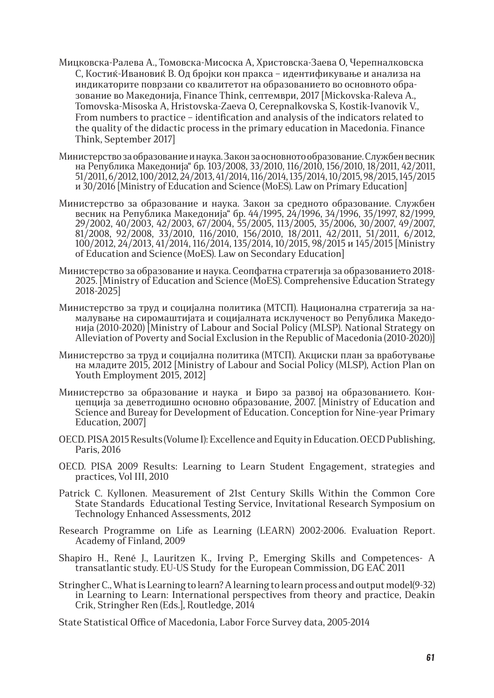- Мицковска-Ралева А., Томовска-Мисоска А, Христовска-Заева О, Черепналковска С, Костиќ-Ивановиќ В. Од бројки кон пракса – идентификување и анализа на индикаторите поврзани со квалитетот на образованието во основното образование во Македонија, Finance Think, септември, 2017 [Mickovska-Raleva A., Tomovska-Misoska A, Hristovska-Zaeva O, Cerepnalkovska S, Kostik-Ivanovik V., From numbers to practice – identification and analysis of the indicators related to the quality of the didactic process in the primary education in Macedonia. Finance Think, September 2017]
- Министерство за образование и наука. Закон за основното образование. Службен весник на Република Македонија" бр. 103/2008, 33/2010, 116/2010, 156/2010, 18/2011, 42/2011, 51/2011, 6/2012, 100/2012, 24/2013, 41/2014, 116/2014, 135/2014, 10/2015, 98/2015, 145/2015 и 30/2016 [Ministry of Education and Science (MoES). Law on Primary Education]
- Министерство за образование и наука. Закон за средното образование. Службен весник на Република Македонија" бр. 44/1995, 24/1996, 34/1996, 35/1997, 82/1999, 29/2002, 40/2003, 42/2003, 67/2004, 55/2005, 113/2005, 35/2006, 30/2007, 49/2007, 81/2008, 92/2008, 33/2010, 116/2010, 156/2010, 18/2011, 42/2011, 51/2011, 6/2012, 100/2012, 24/2013, 41/2014, 116/2014, 135/2014, 10/2015, 98/2015 и 145/2015 [Ministry of Education and Science (MoES). Law on Secondary Education]
- Министерство за образование и наука. Сеопфатна стратегија за образованието 2018- 2025. [Ministry of Education and Science (MoES). Comprehensive Education Strategy 2018-2025]
- Министерство за труд и социјална политика (МТСП). Национална стратегија за намалување на сиромаштијата и социјалната исклученост во Република Македонија (2010-2020) [Ministry of Labour and Social Policy (MLSP). National Strategy on Alleviation of Poverty and Social Exclusion in the Republic of Macedonia (2010-2020)]
- Министерство за труд и социјална политика (МТСП). Акциски план за вработување на младите 2015, 2012 [Ministry of Labour and Social Policy (MLSP), Action Plan on Youth Employment 2015, 2012]
- Министерство за образование и наука и Биро за развој на образованието. Концепција за деветгодишно основно образование, 2007. [Ministry of Education and Science and Bureay for Development of Education. Conception for Nine-year Primary Education, 2007]
- OECD. PISA 2015 Results (Volume I): Excellence and Equity in Education. OECD Publishing, Paris, 2016
- OECD. PISA 2009 Results: Learning to Learn Student Engagement, strategies and practices, Vol III, 2010
- Patrick C. Kyllonen. Measurement of 21st Century Skills Within the Common Core State Standards Educational Testing Service, Invitational Research Symposium on Technology Enhanced Assessments, 2012
- Research Programme on Life as Learning (LEARN) 2002-2006. Evaluation Report. Academy of Finland, 2009
- Shapiro H., René J., Lauritzen K., Irving P., Emerging Skills and Competences- A transatlantic study. EU-US Study for the European Commission, DG EAC 2011
- Stringher C., What is Learning to learn? A learning to learn process and output model(9-32) in Learning to Learn: International perspectives from theory and practice, Deakin Crik, Stringher Ren (Eds.], Routledge, 2014

State Statistical Office of Macedonia, Labor Force Survey data, 2005-2014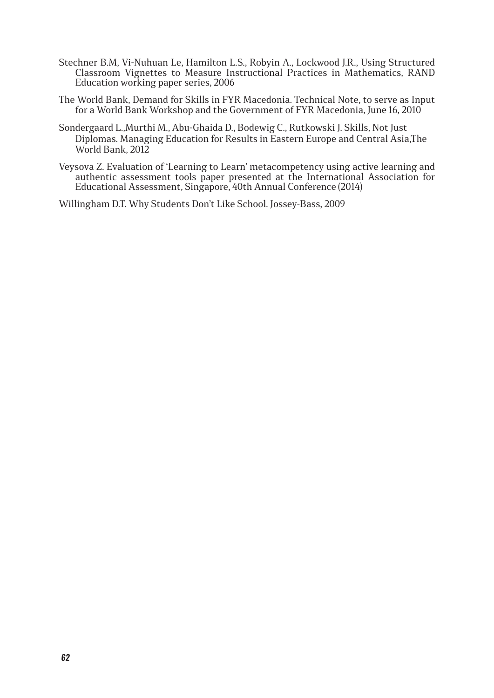- Stechner B.M, Vi-Nuhuan Le, Hamilton L.S., Robyin A., Lockwood J.R., Using Structured Classroom Vignettes to Measure Instructional Practices in Mathematics, RAND Education working paper series, 2006
- The World Bank, Demand for Skills in FYR Macedonia. Technical Note, to serve as Input for a World Bank Workshop and the Government of FYR Macedonia, June 16, 2010
- Sondergaard L.,Murthi M., Abu-Ghaida D., Bodewig C., Rutkowski J. Skills, Not Just Diplomas. Managing Education for Results in Eastern Europe and Central Asia,The World Bank, 2012
- Veysova Z. Evaluation of 'Learning to Learn' metacompetency using active learning and authentic assessment tools paper presented at the International Association for Educational Assessment, Singapore, 40th Annual Conference (2014)

Willingham D.T. Why Students Don't Like School. Jossey-Bass, 2009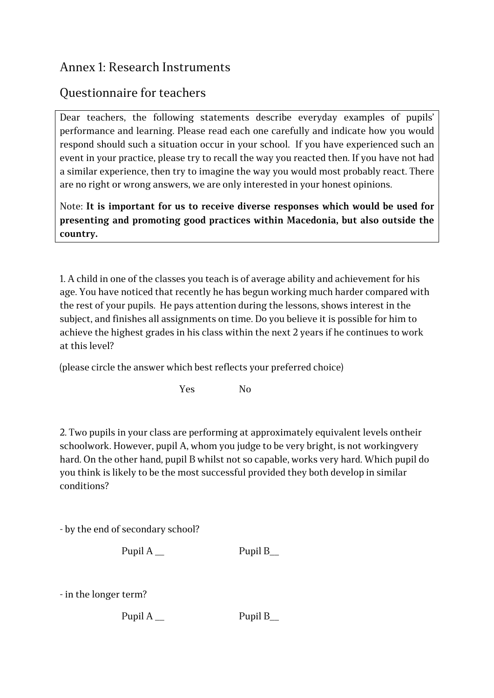### Annex 1: Research Instruments

#### Questionnaire for teachers

Dear teachers, the following statements describe everyday examples of pupils' performance and learning. Please read each one carefully and indicate how you would respond should such a situation occur in your school. If you have experienced such an event in your practice, please try to recall the way you reacted then. If you have not had a similar experience, then try to imagine the way you would most probably react. There are no right or wrong answers, we are only interested in your honest opinions.

Note: **It is important for us to receive diverse responses which would be used for presenting and promoting good practices within Macedonia, but also outside the country.**

1. A child in one of the classes you teach is of average ability and achievement for his age. You have noticed that recently he has begun working much harder compared with the rest of your pupils. He pays attention during the lessons, shows interest in the subject, and finishes all assignments on time. Do you believe it is possible for him to achieve the highest grades in his class within the next 2 years if he continues to work at this level?

(please circle the answer which best reflects your preferred choice)

Yes No

2. Two pupils in your class are performing at approximately equivalent levels ontheir schoolwork. However, pupil A, whom you judge to be very bright, is not workingvery hard. On the other hand, pupil B whilst not so capable, works very hard. Which pupil do you think is likely to be the most successful provided they both develop in similar conditions?

- by the end of secondary school?

Pupil A \_\_ Pupil B

- in the longer term?

Pupil A \_\_ Pupil B\_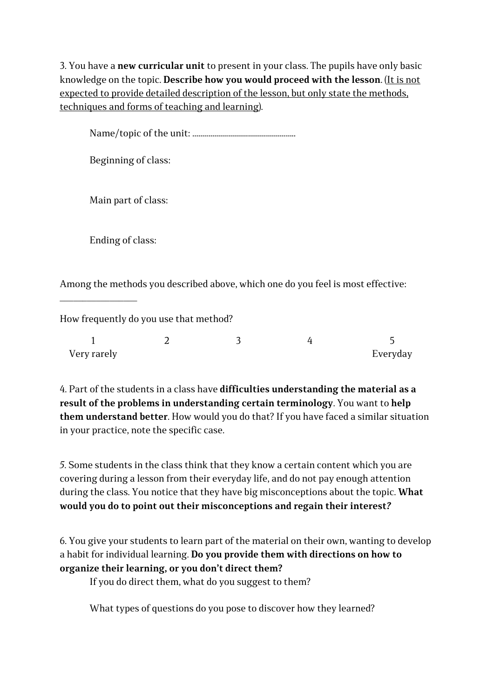3. You have a **new curricular unit** to present in your class. The pupils have only basic knowledge on the topic. **Describe how you would proceed with the lesson**. (It is not expected to provide detailed description of the lesson, but only state the methods, techniques and forms of teaching and learning).

|                     | Beginning of class:                                                             |  |  |
|---------------------|---------------------------------------------------------------------------------|--|--|
| Main part of class: |                                                                                 |  |  |
| Ending of class:    |                                                                                 |  |  |
|                     | Among the methods you described above, which one do you feel is most effective: |  |  |
|                     | How frequently do you use that method?                                          |  |  |
|                     |                                                                                 |  |  |

4. Part of the students in a class have **difficulties understanding the material as a result of the problems in understanding certain terminology**. You want to **help them understand better**. How would you do that? If you have faced a similar situation in your practice, note the specific case.

Everyday

*5.* Some students in the class think that they know a certain content which you are covering during a lesson from their everyday life, and do not pay enough attention during the class. You notice that they have big misconceptions about the topic. **What would you do to point out their misconceptions and regain their interest***?*

6. You give your students to learn part of the material on their own, wanting to develop a habit for individual learning. **Do you provide them with directions on how to organize their learning, or you don't direct them?**

If you do direct them, what do you suggest to them?

Very rarely

What types of questions do you pose to discover how they learned?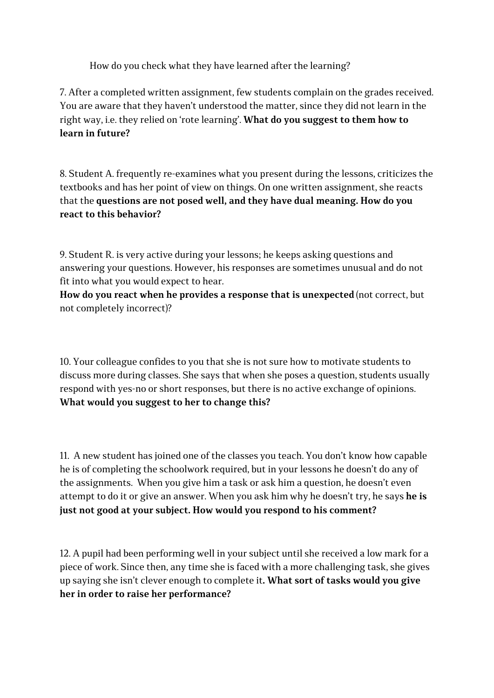How do you check what they have learned after the learning?

7. After a completed written assignment, few students complain on the grades received. You are aware that they haven't understood the matter, since they did not learn in the right way, i.e. they relied on 'rote learning'. **What do you suggest to them how to learn in future?**

8. Student A. frequently re-examines what you present during the lessons, criticizes the textbooks and has her point of view on things. On one written assignment, she reacts that the **questions are not posed well, and they have dual meaning. How do you react to this behavior?**

9. Student R. is very active during your lessons; he keeps asking questions and answering your questions. However, his responses are sometimes unusual and do not fit into what you would expect to hear.

**How do you react when he provides a response that is unexpected** (not correct, but not completely incorrect)?

10. Your colleague confides to you that she is not sure how to motivate students to discuss more during classes. She says that when she poses a question, students usually respond with yes-no or short responses, but there is no active exchange of opinions. **What would you suggest to her to change this?**

11. A new student has joined one of the classes you teach. You don't know how capable he is of completing the schoolwork required, but in your lessons he doesn't do any of the assignments. When you give him a task or ask him a question, he doesn't even attempt to do it or give an answer. When you ask him why he doesn't try, he says **he is just not good at your subject. How would you respond to his comment?** 

12. A pupil had been performing well in your subject until she received a low mark for a piece of work. Since then, any time she is faced with a more challenging task, she gives up saying she isn't clever enough to complete it**. What sort of tasks would you give her in order to raise her performance?**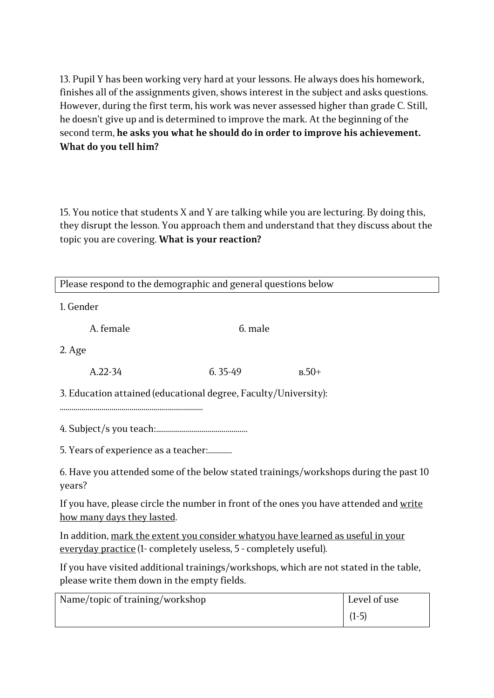13. Pupil Y has been working very hard at your lessons. He always does his homework, finishes all of the assignments given, shows interest in the subject and asks questions. However, during the first term, his work was never assessed higher than grade C. Still, he doesn't give up and is determined to improve the mark. At the beginning of the second term, **he asks you what he should do in order to improve his achievement. What do you tell him?**

15. You notice that students X and Y are talking while you are lecturing. By doing this, they disrupt the lesson. You approach them and understand that they discuss about the topic you are covering. **What is your reaction?**

| Please respond to the demographic and general questions below                                                                                         |             |         |              |
|-------------------------------------------------------------------------------------------------------------------------------------------------------|-------------|---------|--------------|
| 1. Gender                                                                                                                                             |             |         |              |
| A. female                                                                                                                                             | 6. male     |         |              |
| $2.$ Age                                                                                                                                              |             |         |              |
| $A.22 - 34$                                                                                                                                           | $6.35 - 49$ | $B.50+$ |              |
| 3. Education attained (educational degree, Faculty/University):                                                                                       |             |         |              |
|                                                                                                                                                       |             |         |              |
|                                                                                                                                                       |             |         |              |
| 5. Years of experience as a teacher:                                                                                                                  |             |         |              |
| 6. Have you attended some of the below stated trainings/workshops during the past 10<br>years?                                                        |             |         |              |
| If you have, please circle the number in front of the ones you have attended and write<br>how many days they lasted.                                  |             |         |              |
| In addition, mark the extent you consider whatyou have learned as useful in your<br>everyday practice (1- completely useless, 5 - completely useful). |             |         |              |
| If you have visited additional trainings/workshops, which are not stated in the table,<br>please write them down in the empty fields.                 |             |         |              |
| Name/topic of training/workshop                                                                                                                       |             |         | Level of use |
|                                                                                                                                                       |             |         | $(1-5)$      |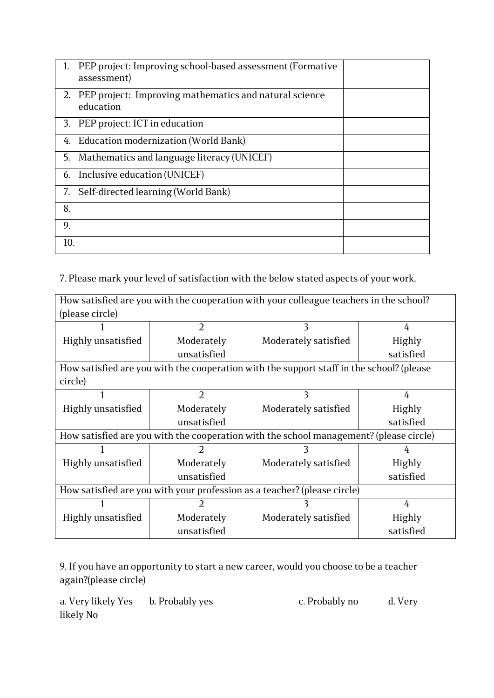|     | PEP project: Improving school-based assessment (Formative<br>assessment) |  |
|-----|--------------------------------------------------------------------------|--|
| 2.  | PEP project: Improving mathematics and natural science<br>education      |  |
|     | 3. PEP project: ICT in education                                         |  |
| 4.  | Education modernization (World Bank)                                     |  |
| 5.  | Mathematics and language literacy (UNICEF)                               |  |
|     | 6. Inclusive education (UNICEF)                                          |  |
|     | 7. Self-directed learning (World Bank)                                   |  |
| 8.  |                                                                          |  |
| 9.  |                                                                          |  |
| 10. |                                                                          |  |

7. Please mark your level of satisfaction with the below stated aspects of your work.

| How satisfied are you with the cooperation with your colleague teachers in the school? |                                                                                          |                      |               |  |
|----------------------------------------------------------------------------------------|------------------------------------------------------------------------------------------|----------------------|---------------|--|
| (please circle)                                                                        |                                                                                          |                      |               |  |
|                                                                                        | $\overline{2}$                                                                           | 3                    | 4             |  |
| Highly unsatisfied                                                                     | Moderately                                                                               | Moderately satisfied | Highly        |  |
|                                                                                        | unsatisfied                                                                              |                      | satisfied     |  |
|                                                                                        | How satisfied are you with the cooperation with the support staff in the school? (please |                      |               |  |
| circle)                                                                                |                                                                                          |                      |               |  |
|                                                                                        | $\overline{2}$                                                                           | 3                    | 4             |  |
| Highly unsatisfied                                                                     | Moderately                                                                               | Moderately satisfied | <b>Highly</b> |  |
|                                                                                        | unsatisfied                                                                              |                      | satisfied     |  |
| How satisfied are you with the cooperation with the school management? (please circle) |                                                                                          |                      |               |  |
|                                                                                        | 2                                                                                        |                      | 4             |  |
| Highly unsatisfied                                                                     | Moderately                                                                               | Moderately satisfied | <b>Highly</b> |  |
|                                                                                        | unsatisfied                                                                              |                      | satisfied     |  |
| How satisfied are you with your profession as a teacher? (please circle)               |                                                                                          |                      |               |  |
|                                                                                        | 2                                                                                        |                      | 4             |  |
| Highly unsatisfied                                                                     | Moderately                                                                               | Moderately satisfied | <b>Highly</b> |  |
|                                                                                        | unsatisfied                                                                              |                      | satisfied     |  |

9. If you have an opportunity to start a new career, would you choose to be a teacher again?(please circle)

a. Very likely Yes b. Probably yes c. Probably no d. Very likely No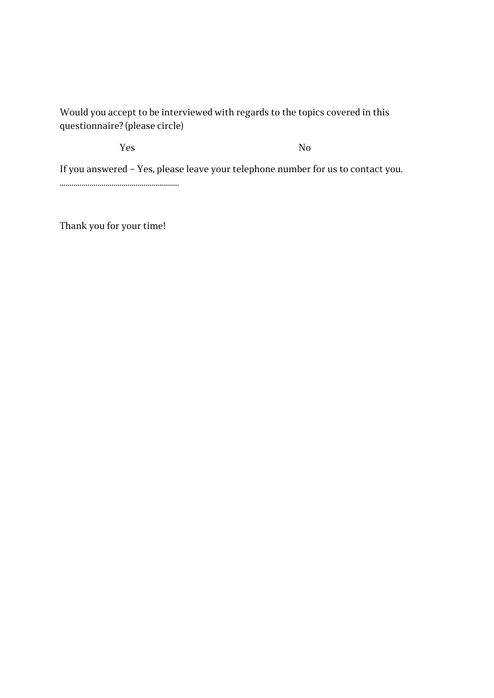#### 

Would you accept to be interviewed with regards to the topics covered in this questionnaire? (please circle)

Yes No

If you answered – Yes, please leave your telephone number for us to contact you.

............................................................

Thank you for your time!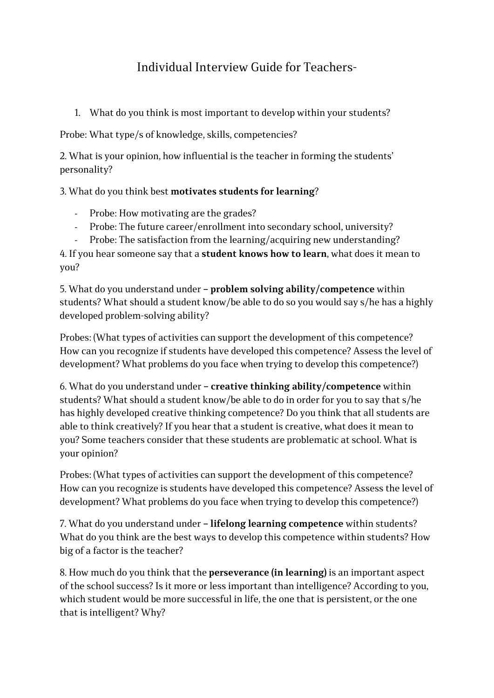## Individual Interview Guide for Teachers-

1. What do you think is most important to develop within your students?

Probe: What type/s of knowledge, skills, competencies?

2. What is your opinion, how influential is the teacher in forming the students' personality?

3. What do you think best **motivates students for learning**?

- Probe: How motivating are the grades?
- Probe: The future career/enrollment into secondary school, university?
- Probe: The satisfaction from the learning/acquiring new understanding?

4. If you hear someone say that a **student knows how to learn**, what does it mean to you?

5. What do you understand under **– problem solving ability/competence** within students? What should a student know/be able to do so you would say s/he has a highly developed problem-solving ability?

Probes: (What types of activities can support the development of this competence? How can you recognize if students have developed this competence? Assess the level of development? What problems do you face when trying to develop this competence?)

6. What do you understand under **– creative thinking ability/competence** within students? What should a student know/be able to do in order for you to say that s/he has highly developed creative thinking competence? Do you think that all students are able to think creatively? If you hear that a student is creative, what does it mean to you? Some teachers consider that these students are problematic at school. What is your opinion?

Probes: (What types of activities can support the development of this competence? How can you recognize is students have developed this competence? Assess the level of development? What problems do you face when trying to develop this competence?)

7. What do you understand under **– lifelong learning competence** within students? What do you think are the best ways to develop this competence within students? How big of a factor is the teacher?

8. How much do you think that the **perseverance (in learning)** is an important aspect of the school success? Is it more or less important than intelligence? According to you, which student would be more successful in life, the one that is persistent, or the one that is intelligent? Why?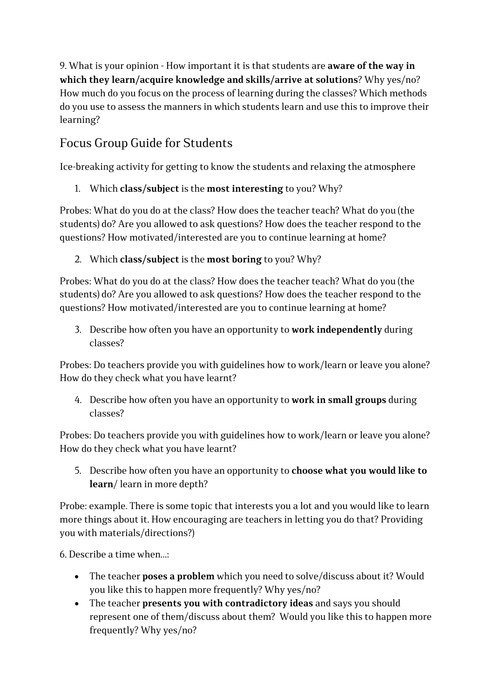9. What is your opinion - How important it is that students are **aware of the way in which they learn/acquire knowledge and skills/arrive at solutions**? Why yes/no? How much do you focus on the process of learning during the classes? Which methods do you use to assess the manners in which students learn and use this to improve their learning?

### Focus Group Guide for Students

Ice-breaking activity for getting to know the students and relaxing the atmosphere

1. Which **class/subject** is the **most interesting** to you? Why?

Probes: What do you do at the class? How does the teacher teach? What do you (the students) do? Are you allowed to ask questions? How does the teacher respond to the questions? How motivated/interested are you to continue learning at home?

2. Which **class/subject** is the **most boring** to you? Why?

Probes: What do you do at the class? How does the teacher teach? What do you (the students) do? Are you allowed to ask questions? How does the teacher respond to the questions? How motivated/interested are you to continue learning at home?

3. Describe how often you have an opportunity to **work independently** during classes?

Probes: Do teachers provide you with guidelines how to work/learn or leave you alone? How do they check what you have learnt?

4. Describe how often you have an opportunity to **work in small groups** during classes?

Probes: Do teachers provide you with guidelines how to work/learn or leave you alone? How do they check what you have learnt?

5. Describe how often you have an opportunity to **choose what you would like to learn**/ learn in more depth?

Probe: example. There is some topic that interests you a lot and you would like to learn more things about it. How encouraging are teachers in letting you do that? Providing you with materials/directions?)

6. Describe a time when  $\cdot$ 

- The teacher **poses a problem** which you need to solve/discuss about it? Would you like this to happen more frequently? Why yes/no?
- The teacher **presents you with contradictory ideas** and says you should represent one of them/discuss about them? Would you like this to happen more frequently? Why yes/no?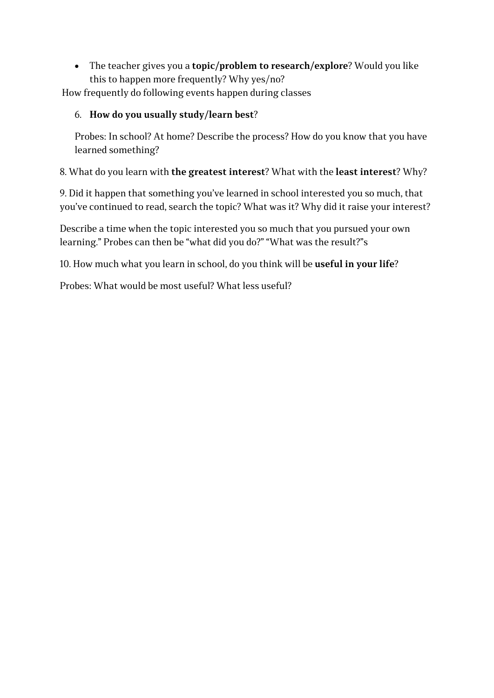• The teacher gives you a **topic/problem to research/explore**? Would you like this to happen more frequently? Why yes/no?

How frequently do following events happen during classes

#### 6. **How do you usually study/learn best**?

Probes: In school? At home? Describe the process? How do you know that you have learned something?

8. What do you learn with **the greatest interest**? What with the **least interest**? Why?

9. Did it happen that something you've learned in school interested you so much, that you've continued to read, search the topic? What was it? Why did it raise your interest?

Describe a time when the topic interested you so much that you pursued your own learning." Probes can then be "what did you do?" "What was the result?"s

10. How much what you learn in school, do you think will be **useful in your life**?

Probes: What would be most useful? What less useful?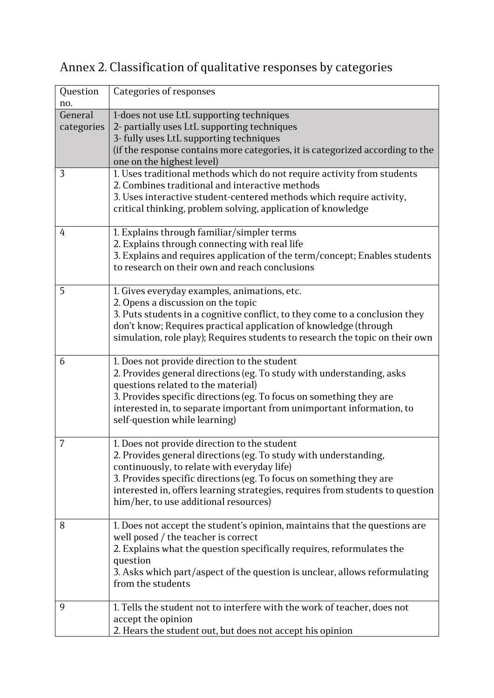## Annex 2. Classification of qualitative responses by categories

| Question<br>no. | <b>Categories of responses</b>                                                                         |
|-----------------|--------------------------------------------------------------------------------------------------------|
| General         | 1-does not use LtL supporting techniques                                                               |
| categories      | 2- partially uses LtL supporting techniques                                                            |
|                 | 3- fully uses LtL supporting techniques                                                                |
|                 | (if the response contains more categories, it is categorized according to the                          |
|                 | one on the highest level)                                                                              |
| 3               | 1. Uses traditional methods which do not require activity from students                                |
|                 | 2. Combines traditional and interactive methods                                                        |
|                 | 3. Uses interactive student-centered methods which require activity,                                   |
|                 | critical thinking, problem solving, application of knowledge                                           |
| 4               | 1. Explains through familiar/simpler terms                                                             |
|                 | 2. Explains through connecting with real life                                                          |
|                 | 3. Explains and requires application of the term/concept; Enables students                             |
|                 | to research on their own and reach conclusions                                                         |
| 5               | 1. Gives everyday examples, animations, etc.                                                           |
|                 | 2. Opens a discussion on the topic                                                                     |
|                 | 3. Puts students in a cognitive conflict, to they come to a conclusion they                            |
|                 | don't know; Requires practical application of knowledge (through                                       |
|                 | simulation, role play); Requires students to research the topic on their own                           |
| 6               | 1. Does not provide direction to the student                                                           |
|                 | 2. Provides general directions (eg. To study with understanding, asks                                  |
|                 | questions related to the material)                                                                     |
|                 | 3. Provides specific directions (eg. To focus on something they are                                    |
|                 | interested in, to separate important from unimportant information, to<br>self-question while learning) |
|                 |                                                                                                        |
| 7               | 1. Does not provide direction to the student                                                           |
|                 | 2. Provides general directions (eg. To study with understanding,                                       |
|                 | continuously, to relate with everyday life)                                                            |
|                 | 3. Provides specific directions (eg. To focus on something they are                                    |
|                 | interested in, offers learning strategies, requires from students to question                          |
|                 | him/her, to use additional resources)                                                                  |
| 8               | 1. Does not accept the student's opinion, maintains that the questions are                             |
|                 | well posed / the teacher is correct                                                                    |
|                 | 2. Explains what the question specifically requires, reformulates the                                  |
|                 | question                                                                                               |
|                 | 3. Asks which part/aspect of the question is unclear, allows reformulating<br>from the students        |
|                 |                                                                                                        |
| 9               | 1. Tells the student not to interfere with the work of teacher, does not                               |
|                 | accept the opinion                                                                                     |
|                 | 2. Hears the student out, but does not accept his opinion                                              |